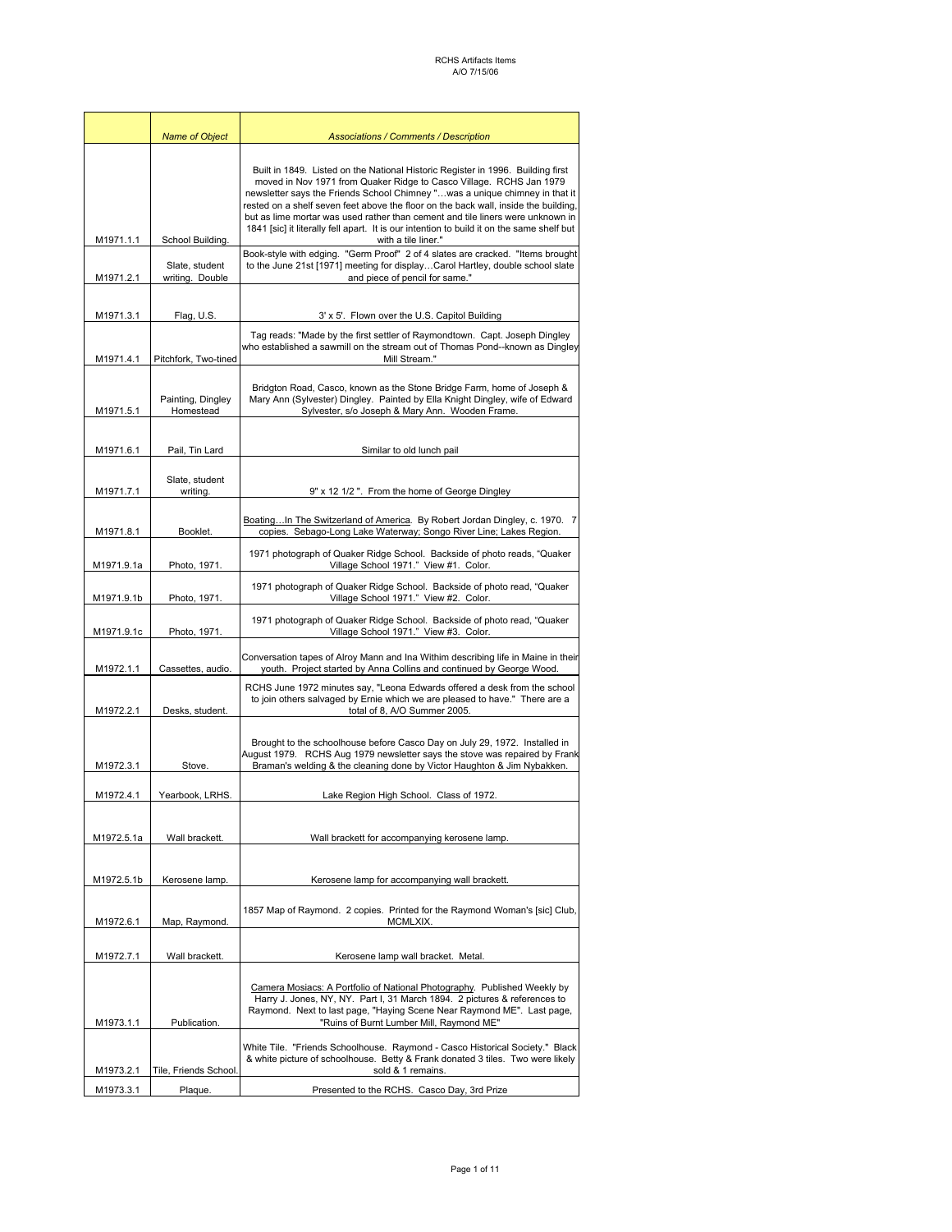|            | <b>Name of Object</b><br><b>Associations / Comments / Description</b>                                                                                                                                                                       |                                                                                                                                                                                                                                                                                                                                                                                                                                                                                                                                    |  |
|------------|---------------------------------------------------------------------------------------------------------------------------------------------------------------------------------------------------------------------------------------------|------------------------------------------------------------------------------------------------------------------------------------------------------------------------------------------------------------------------------------------------------------------------------------------------------------------------------------------------------------------------------------------------------------------------------------------------------------------------------------------------------------------------------------|--|
| M1971.1.1  | School Building.                                                                                                                                                                                                                            | Built in 1849. Listed on the National Historic Register in 1996. Building first<br>moved in Nov 1971 from Quaker Ridge to Casco Village. RCHS Jan 1979<br>newsletter says the Friends School Chimney "was a unique chimney in that it<br>rested on a shelf seven feet above the floor on the back wall, inside the building,<br>but as lime mortar was used rather than cement and tile liners were unknown in<br>1841 [sic] it literally fell apart. It is our intention to build it on the same shelf but<br>with a tile liner." |  |
| M1971.2.1  | Book-style with edging. "Germ Proof" 2 of 4 slates are cracked. "Items brought<br>to the June 21st [1971] meeting for displayCarol Hartley, double school slate<br>Slate, student<br>and piece of pencil for same."<br>writing. Double      |                                                                                                                                                                                                                                                                                                                                                                                                                                                                                                                                    |  |
| M1971.3.1  | Flag, U.S.<br>3' x 5'. Flown over the U.S. Capitol Building                                                                                                                                                                                 |                                                                                                                                                                                                                                                                                                                                                                                                                                                                                                                                    |  |
| M1971.4.1  | Pitchfork, Two-tined                                                                                                                                                                                                                        | Tag reads: "Made by the first settler of Raymondtown. Capt. Joseph Dingley<br>who established a sawmill on the stream out of Thomas Pond--known as Dingley<br>Mill Stream."                                                                                                                                                                                                                                                                                                                                                        |  |
| M1971.5.1  | Bridgton Road, Casco, known as the Stone Bridge Farm, home of Joseph &<br>Mary Ann (Sylvester) Dingley. Painted by Ella Knight Dingley, wife of Edward<br>Painting, Dingley<br>Homestead<br>Sylvester, s/o Joseph & Mary Ann. Wooden Frame. |                                                                                                                                                                                                                                                                                                                                                                                                                                                                                                                                    |  |
| M1971.6.1  | Pail, Tin Lard                                                                                                                                                                                                                              | Similar to old lunch pail                                                                                                                                                                                                                                                                                                                                                                                                                                                                                                          |  |
| M1971.7.1  | Slate, student<br>writing.                                                                                                                                                                                                                  | 9" x 12 1/2". From the home of George Dingley                                                                                                                                                                                                                                                                                                                                                                                                                                                                                      |  |
| M1971.8.1  |                                                                                                                                                                                                                                             | BoatingIn The Switzerland of America. By Robert Jordan Dingley, c. 1970. 7<br>copies. Sebago-Long Lake Waterway; Songo River Line; Lakes Region.                                                                                                                                                                                                                                                                                                                                                                                   |  |
| M1971.9.1a | Booklet.<br>1971 photograph of Quaker Ridge School. Backside of photo reads, "Quaker<br>Village School 1971." View #1. Color.<br>Photo, 1971.                                                                                               |                                                                                                                                                                                                                                                                                                                                                                                                                                                                                                                                    |  |
| M1971.9.1b | Photo, 1971.                                                                                                                                                                                                                                | 1971 photograph of Quaker Ridge School. Backside of photo read, "Quaker<br>Village School 1971." View #2. Color.                                                                                                                                                                                                                                                                                                                                                                                                                   |  |
| M1971.9.1c | Photo, 1971.                                                                                                                                                                                                                                | 1971 photograph of Quaker Ridge School. Backside of photo read, "Quaker<br>Village School 1971." View #3. Color.                                                                                                                                                                                                                                                                                                                                                                                                                   |  |
| M1972.1.1  | Cassettes, audio.                                                                                                                                                                                                                           | Conversation tapes of Alroy Mann and Ina Withim describing life in Maine in their<br>youth. Project started by Anna Collins and continued by George Wood.                                                                                                                                                                                                                                                                                                                                                                          |  |
| M1972.2.1  | Desks, student.                                                                                                                                                                                                                             | RCHS June 1972 minutes say, "Leona Edwards offered a desk from the school<br>to join others salvaged by Ernie which we are pleased to have." There are a<br>total of 8, A/O Summer 2005.                                                                                                                                                                                                                                                                                                                                           |  |
| M1972.3.1  | Stove.                                                                                                                                                                                                                                      | Brought to the schoolhouse before Casco Day on July 29, 1972. Installed in<br>August 1979. RCHS Aug 1979 newsletter says the stove was repaired by Frank<br>Braman's welding & the cleaning done by Victor Haughton & Jim Nybakken.                                                                                                                                                                                                                                                                                                |  |
| M1972.4.1  | Yearbook, LRHS.                                                                                                                                                                                                                             | Lake Region High School. Class of 1972.                                                                                                                                                                                                                                                                                                                                                                                                                                                                                            |  |
| M1972.5.1a | Wall brackett.                                                                                                                                                                                                                              | Wall brackett for accompanying kerosene lamp.                                                                                                                                                                                                                                                                                                                                                                                                                                                                                      |  |
| M1972.5.1b | Kerosene lamp.                                                                                                                                                                                                                              | Kerosene lamp for accompanying wall brackett.                                                                                                                                                                                                                                                                                                                                                                                                                                                                                      |  |
| M1972.6.1  | Map, Raymond.                                                                                                                                                                                                                               | 1857 Map of Raymond. 2 copies. Printed for the Raymond Woman's [sic] Club,<br>MCMLXIX.                                                                                                                                                                                                                                                                                                                                                                                                                                             |  |
| M1972.7.1  | Wall brackett.<br>Kerosene lamp wall bracket. Metal.                                                                                                                                                                                        |                                                                                                                                                                                                                                                                                                                                                                                                                                                                                                                                    |  |
| M1973.1.1  | Publication.                                                                                                                                                                                                                                | Camera Mosiacs: A Portfolio of National Photography. Published Weekly by<br>Harry J. Jones, NY, NY. Part I, 31 March 1894. 2 pictures & references to<br>Raymond. Next to last page, "Haying Scene Near Raymond ME". Last page,<br>"Ruins of Burnt Lumber Mill, Raymond ME"                                                                                                                                                                                                                                                        |  |
| M1973.2.1  | Tile, Friends School.                                                                                                                                                                                                                       | White Tile. "Friends Schoolhouse. Raymond - Casco Historical Society." Black<br>& white picture of schoolhouse. Betty & Frank donated 3 tiles. Two were likely<br>sold & 1 remains.                                                                                                                                                                                                                                                                                                                                                |  |
| M1973.3.1  | Plaque.                                                                                                                                                                                                                                     | Presented to the RCHS. Casco Day, 3rd Prize                                                                                                                                                                                                                                                                                                                                                                                                                                                                                        |  |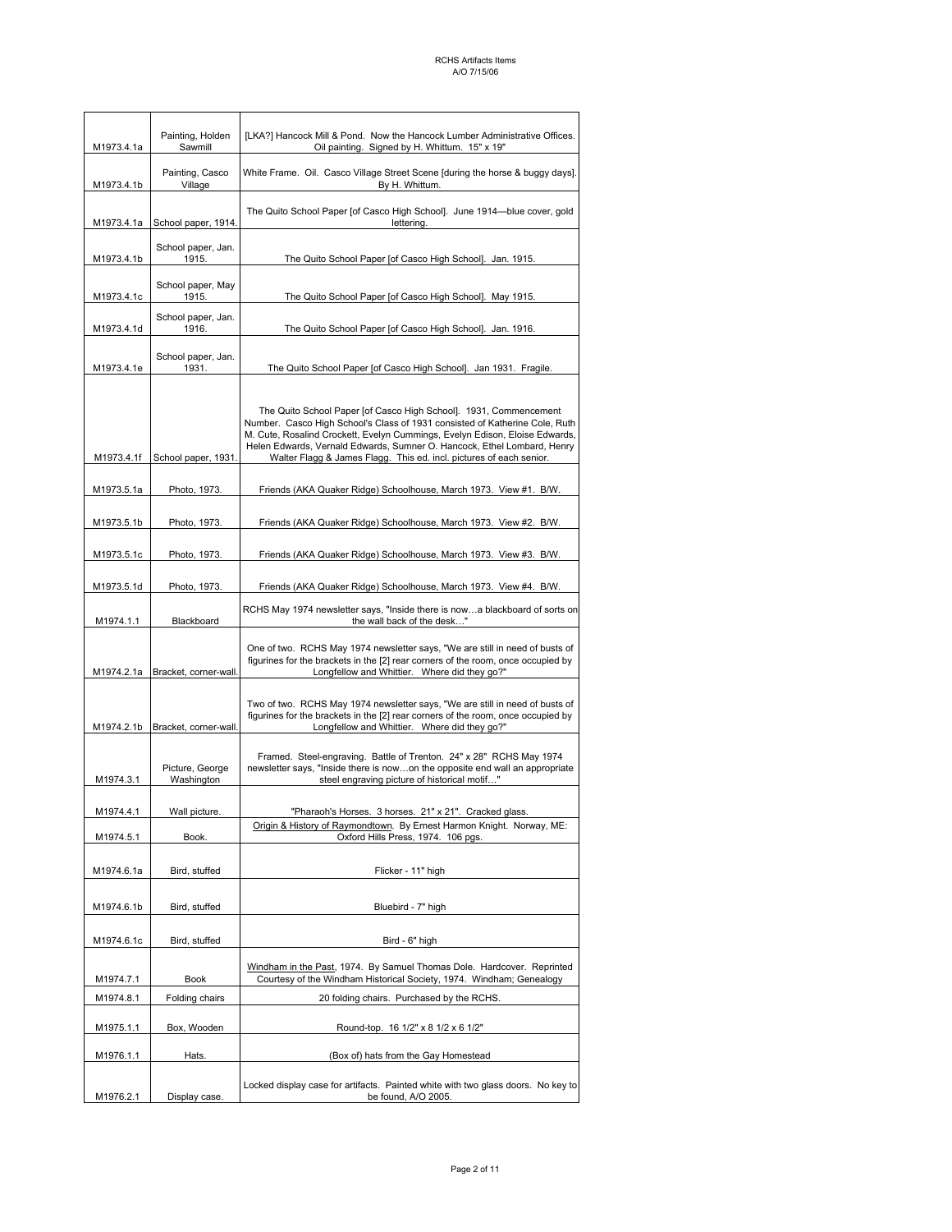| M1973.4.1a                                | Painting, Holden<br>[LKA?] Hancock Mill & Pond. Now the Hancock Lumber Administrative Offices.<br>Sawmill<br>Oil painting. Signed by H. Whittum. 15" x 19" |                                                                                                                                                                                                                                                                                                                                                                                   |  |
|-------------------------------------------|------------------------------------------------------------------------------------------------------------------------------------------------------------|-----------------------------------------------------------------------------------------------------------------------------------------------------------------------------------------------------------------------------------------------------------------------------------------------------------------------------------------------------------------------------------|--|
| Painting, Casco<br>Village<br>M1973.4.1b  |                                                                                                                                                            | White Frame. Oil. Casco Village Street Scene [during the horse & buggy days].<br>By H. Whittum.                                                                                                                                                                                                                                                                                   |  |
| School paper, 1914.<br>M1973.4.1a         |                                                                                                                                                            | The Quito School Paper [of Casco High School]. June 1914-blue cover, gold<br>lettering.                                                                                                                                                                                                                                                                                           |  |
| School paper, Jan.<br>1915.<br>M1973.4.1b |                                                                                                                                                            | The Quito School Paper [of Casco High School]. Jan. 1915.                                                                                                                                                                                                                                                                                                                         |  |
| M1973.4.1c                                | School paper, May<br>1915.                                                                                                                                 | The Quito School Paper [of Casco High School]. May 1915.                                                                                                                                                                                                                                                                                                                          |  |
| M1973.4.1d                                | School paper, Jan.<br>1916.                                                                                                                                | The Quito School Paper [of Casco High School]. Jan. 1916.                                                                                                                                                                                                                                                                                                                         |  |
| M1973.4.1e                                | School paper, Jan.<br>1931.                                                                                                                                | The Quito School Paper [of Casco High School]. Jan 1931. Fragile.                                                                                                                                                                                                                                                                                                                 |  |
| M1973.4.1f                                | School paper, 1931.                                                                                                                                        | The Quito School Paper [of Casco High School]. 1931, Commencement<br>Number. Casco High School's Class of 1931 consisted of Katherine Cole, Ruth<br>M. Cute, Rosalind Crockett, Evelyn Cummings, Evelyn Edison, Eloise Edwards,<br>Helen Edwards, Vernald Edwards, Sumner O. Hancock, Ethel Lombard, Henry<br>Walter Flagg & James Flagg. This ed. incl. pictures of each senior. |  |
| M1973.5.1a                                | Photo, 1973.                                                                                                                                               | Friends (AKA Quaker Ridge) Schoolhouse, March 1973. View #1. B/W.                                                                                                                                                                                                                                                                                                                 |  |
| M1973.5.1b                                | Photo, 1973.                                                                                                                                               | Friends (AKA Quaker Ridge) Schoolhouse, March 1973. View #2. B/W.                                                                                                                                                                                                                                                                                                                 |  |
| M1973.5.1c                                | Photo, 1973.                                                                                                                                               | Friends (AKA Quaker Ridge) Schoolhouse, March 1973. View #3. B/W.                                                                                                                                                                                                                                                                                                                 |  |
| M1973.5.1d                                | Photo, 1973.                                                                                                                                               | Friends (AKA Quaker Ridge) Schoolhouse, March 1973. View #4. B/W.                                                                                                                                                                                                                                                                                                                 |  |
| M1974.1.1                                 | Blackboard                                                                                                                                                 | RCHS May 1974 newsletter says, "Inside there is nowa blackboard of sorts on<br>the wall back of the desk"                                                                                                                                                                                                                                                                         |  |
|                                           | M1974.2.1a Bracket, corner-wall.                                                                                                                           | One of two. RCHS May 1974 newsletter says, "We are still in need of busts of<br>figurines for the brackets in the [2] rear corners of the room, once occupied by<br>Longfellow and Whittier. Where did they go?"                                                                                                                                                                  |  |
| M1974.2.1b                                | Bracket, corner-wall.                                                                                                                                      | Two of two. RCHS May 1974 newsletter says, "We are still in need of busts of<br>figurines for the brackets in the [2] rear corners of the room, once occupied by<br>Longfellow and Whittier. Where did they go?"                                                                                                                                                                  |  |
| M1974.3.1                                 | Picture, George<br>Washington                                                                                                                              | Framed. Steel-engraving. Battle of Trenton. 24" x 28" RCHS May 1974<br>newsletter says, "Inside there is nowon the opposite end wall an appropriate<br>steel engraving picture of historical motif"                                                                                                                                                                               |  |
| M1974.4.1                                 | Wall picture                                                                                                                                               | "Pharaoh's Horses. 3 horses. 21" x 21". Cracked glass.                                                                                                                                                                                                                                                                                                                            |  |
| M1974.5.1                                 | Book.                                                                                                                                                      | Origin & History of Raymondtown. By Ernest Harmon Knight. Norway, ME:<br>Oxford Hills Press, 1974. 106 pgs.                                                                                                                                                                                                                                                                       |  |
| M1974.6.1a                                | Bird, stuffed                                                                                                                                              | Flicker - 11" high                                                                                                                                                                                                                                                                                                                                                                |  |
| M1974.6.1b                                | Bird, stuffed                                                                                                                                              | Bluebird - 7" high                                                                                                                                                                                                                                                                                                                                                                |  |
| M1974.6.1c                                | Bird, stuffed                                                                                                                                              | Bird - 6" high                                                                                                                                                                                                                                                                                                                                                                    |  |
| M1974.7.1                                 | Book                                                                                                                                                       | Windham in the Past, 1974. By Samuel Thomas Dole. Hardcover. Reprinted<br>Courtesy of the Windham Historical Society, 1974. Windham; Genealogy                                                                                                                                                                                                                                    |  |
| M1974.8.1                                 | Folding chairs                                                                                                                                             | 20 folding chairs. Purchased by the RCHS.                                                                                                                                                                                                                                                                                                                                         |  |
| M1975.1.1                                 | Box, Wooden                                                                                                                                                | Round-top. 16 1/2" x 8 1/2 x 6 1/2"                                                                                                                                                                                                                                                                                                                                               |  |
| M1976.1.1                                 | Hats.                                                                                                                                                      | (Box of) hats from the Gay Homestead                                                                                                                                                                                                                                                                                                                                              |  |
| M1976.2.1                                 | Display case.                                                                                                                                              | Locked display case for artifacts. Painted white with two glass doors. No key to<br>be found, A/O 2005.                                                                                                                                                                                                                                                                           |  |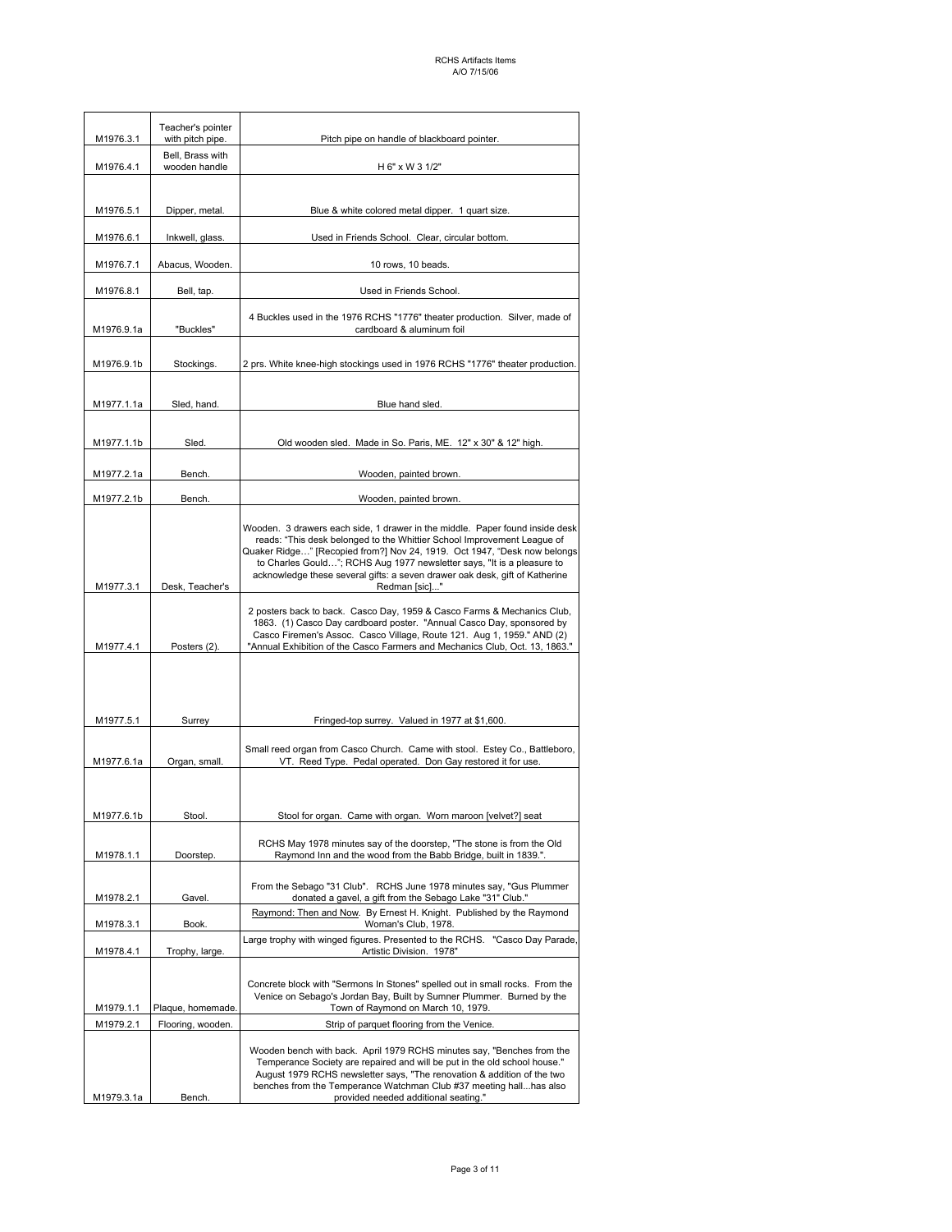| M1976.3.1              | Teacher's pointer<br>with pitch pipe.                                                                                                                 | Pitch pipe on handle of blackboard pointer.                                                                                                                                                                                                                                                                                                                                                                   |
|------------------------|-------------------------------------------------------------------------------------------------------------------------------------------------------|---------------------------------------------------------------------------------------------------------------------------------------------------------------------------------------------------------------------------------------------------------------------------------------------------------------------------------------------------------------------------------------------------------------|
| M1976.4.1              | Bell, Brass with<br>wooden handle                                                                                                                     | H 6" x W 3 1/2"                                                                                                                                                                                                                                                                                                                                                                                               |
|                        |                                                                                                                                                       |                                                                                                                                                                                                                                                                                                                                                                                                               |
| M1976.5.1              | Dipper, metal.                                                                                                                                        | Blue & white colored metal dipper. 1 quart size.                                                                                                                                                                                                                                                                                                                                                              |
| M1976.6.1              | Inkwell, glass.                                                                                                                                       | Used in Friends School. Clear, circular bottom.                                                                                                                                                                                                                                                                                                                                                               |
| M1976.7.1              | Abacus, Wooden.                                                                                                                                       | 10 rows, 10 beads.                                                                                                                                                                                                                                                                                                                                                                                            |
| M1976.8.1              | Bell, tap.                                                                                                                                            | Used in Friends School.                                                                                                                                                                                                                                                                                                                                                                                       |
| M1976.9.1a             | "Buckles"                                                                                                                                             | 4 Buckles used in the 1976 RCHS "1776" theater production. Silver, made of<br>cardboard & aluminum foil                                                                                                                                                                                                                                                                                                       |
|                        |                                                                                                                                                       |                                                                                                                                                                                                                                                                                                                                                                                                               |
| M1976.9.1b             | Stockings.                                                                                                                                            | 2 prs. White knee-high stockings used in 1976 RCHS "1776" theater production.                                                                                                                                                                                                                                                                                                                                 |
| M1977.1.1a             | Sled, hand.                                                                                                                                           | Blue hand sled.                                                                                                                                                                                                                                                                                                                                                                                               |
|                        |                                                                                                                                                       |                                                                                                                                                                                                                                                                                                                                                                                                               |
| M1977.1.1b             | Sled.                                                                                                                                                 | Old wooden sled. Made in So. Paris, ME. 12" x 30" & 12" high.                                                                                                                                                                                                                                                                                                                                                 |
| M1977.2.1a             | Bench.                                                                                                                                                | Wooden, painted brown.                                                                                                                                                                                                                                                                                                                                                                                        |
| M1977.2.1b             | Bench.                                                                                                                                                | Wooden, painted brown.                                                                                                                                                                                                                                                                                                                                                                                        |
| M1977.3.1              | Desk, Teacher's                                                                                                                                       | Wooden. 3 drawers each side, 1 drawer in the middle. Paper found inside desk<br>reads: "This desk belonged to the Whittier School Improvement League of<br>Quaker Ridge" [Recopied from?] Nov 24, 1919. Oct 1947, "Desk now belongs<br>to Charles Gould"; RCHS Aug 1977 newsletter says, "It is a pleasure to<br>acknowledge these several gifts: a seven drawer oak desk, gift of Katherine<br>Redman [sic]" |
| M1977.4.1              | Posters (2).                                                                                                                                          | 2 posters back to back. Casco Day, 1959 & Casco Farms & Mechanics Club,<br>1863. (1) Casco Day cardboard poster. "Annual Casco Day, sponsored by<br>Casco Firemen's Assoc. Casco Village, Route 121. Aug 1, 1959." AND (2)<br>"Annual Exhibition of the Casco Farmers and Mechanics Club, Oct. 13, 1863."                                                                                                     |
|                        |                                                                                                                                                       |                                                                                                                                                                                                                                                                                                                                                                                                               |
| M1977.5.1              | Surrey                                                                                                                                                | Fringed-top surrey. Valued in 1977 at \$1,600.                                                                                                                                                                                                                                                                                                                                                                |
| M1977.6.1a             | Organ, small.                                                                                                                                         | Small reed organ from Casco Church. Came with stool. Estey Co., Battleboro,<br>VT. Reed Type. Pedal operated. Don Gay restored it for use.                                                                                                                                                                                                                                                                    |
|                        |                                                                                                                                                       |                                                                                                                                                                                                                                                                                                                                                                                                               |
| M1977.6.1b             | Stool.                                                                                                                                                | Stool for organ. Came with organ. Worn maroon [velvet?] seat                                                                                                                                                                                                                                                                                                                                                  |
| M1978.1.1              | RCHS May 1978 minutes say of the doorstep, "The stone is from the Old<br>Raymond Inn and the wood from the Babb Bridge, built in 1839.".<br>Doorstep. |                                                                                                                                                                                                                                                                                                                                                                                                               |
| M1978.2.1              | Gavel.                                                                                                                                                | From the Sebago "31 Club". RCHS June 1978 minutes say, "Gus Plummer<br>donated a gavel, a gift from the Sebago Lake "31" Club."                                                                                                                                                                                                                                                                               |
| M1978.3.1              | Book.                                                                                                                                                 | Raymond: Then and Now. By Ernest H. Knight. Published by the Raymond<br>Woman's Club, 1978.                                                                                                                                                                                                                                                                                                                   |
| M1978.4.1              | Trophy, large.                                                                                                                                        | Large trophy with winged figures. Presented to the RCHS. "Casco Day Parade,<br>Artistic Division. 1978"                                                                                                                                                                                                                                                                                                       |
|                        |                                                                                                                                                       | Concrete block with "Sermons In Stones" spelled out in small rocks. From the<br>Venice on Sebago's Jordan Bay, Built by Sumner Plummer. Burned by the                                                                                                                                                                                                                                                         |
| M1979.1.1<br>M1979.2.1 | Plaque, homemade.<br>Flooring, wooden.                                                                                                                | Town of Raymond on March 10, 1979.<br>Strip of parquet flooring from the Venice.                                                                                                                                                                                                                                                                                                                              |
| M1979.3.1a             | Bench.                                                                                                                                                | Wooden bench with back. April 1979 RCHS minutes say, "Benches from the<br>Temperance Society are repaired and will be put in the old school house."<br>August 1979 RCHS newsletter says, "The renovation & addition of the two<br>benches from the Temperance Watchman Club #37 meeting hallhas also<br>provided needed additional seating."                                                                  |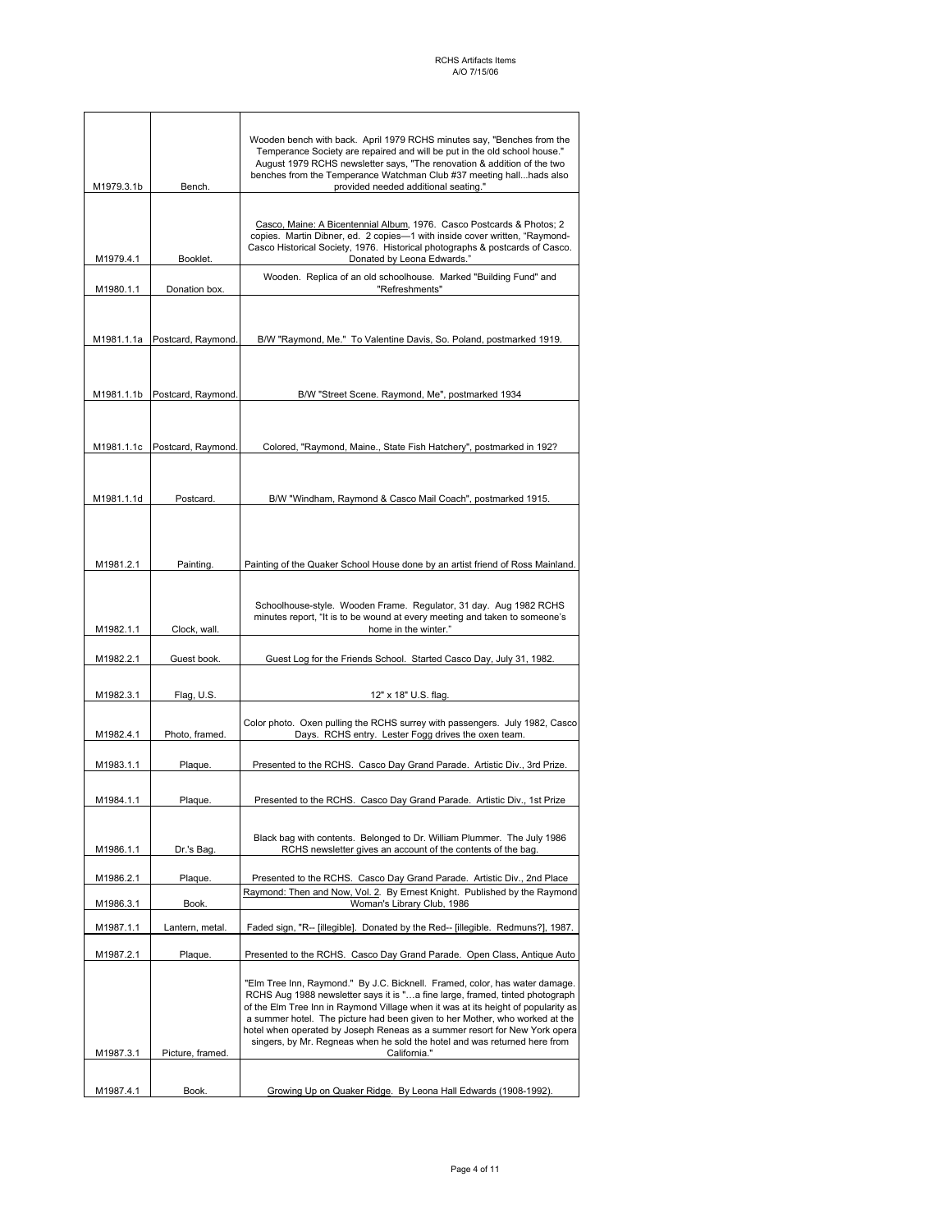| M1979.3.1b | Bench.                        | Wooden bench with back. April 1979 RCHS minutes say, "Benches from the<br>Temperance Society are repaired and will be put in the old school house."<br>August 1979 RCHS newsletter says, "The renovation & addition of the two<br>benches from the Temperance Watchman Club #37 meeting hallhads also<br>provided needed additional seating."                                                                                                                                                              |
|------------|-------------------------------|------------------------------------------------------------------------------------------------------------------------------------------------------------------------------------------------------------------------------------------------------------------------------------------------------------------------------------------------------------------------------------------------------------------------------------------------------------------------------------------------------------|
|            |                               |                                                                                                                                                                                                                                                                                                                                                                                                                                                                                                            |
| M1979.4.1  | Booklet.                      | Casco, Maine: A Bicentennial Album, 1976. Casco Postcards & Photos; 2<br>copies. Martin Dibner, ed. 2 copies-1 with inside cover written, "Raymond-<br>Casco Historical Society, 1976. Historical photographs & postcards of Casco.<br>Donated by Leona Edwards."                                                                                                                                                                                                                                          |
| M1980.1.1  | Donation box.                 | Wooden. Replica of an old schoolhouse. Marked "Building Fund" and<br>"Refreshments"                                                                                                                                                                                                                                                                                                                                                                                                                        |
|            |                               |                                                                                                                                                                                                                                                                                                                                                                                                                                                                                                            |
| M1981.1.1a | Postcard, Raymond.            | B/W "Raymond, Me." To Valentine Davis, So. Poland, postmarked 1919.                                                                                                                                                                                                                                                                                                                                                                                                                                        |
|            | M1981.1.1b Postcard, Raymond. | B/W "Street Scene. Raymond, Me", postmarked 1934                                                                                                                                                                                                                                                                                                                                                                                                                                                           |
|            | M1981.1.1c Postcard, Raymond. | Colored, "Raymond, Maine., State Fish Hatchery", postmarked in 192?                                                                                                                                                                                                                                                                                                                                                                                                                                        |
| M1981.1.1d | Postcard.                     | B/W "Windham, Raymond & Casco Mail Coach", postmarked 1915.                                                                                                                                                                                                                                                                                                                                                                                                                                                |
| M1981.2.1  | Painting.                     | Painting of the Quaker School House done by an artist friend of Ross Mainland.                                                                                                                                                                                                                                                                                                                                                                                                                             |
|            |                               |                                                                                                                                                                                                                                                                                                                                                                                                                                                                                                            |
| M1982.1.1  | Clock, wall.                  | Schoolhouse-style. Wooden Frame. Regulator, 31 day. Aug 1982 RCHS<br>minutes report, "It is to be wound at every meeting and taken to someone's<br>home in the winter."                                                                                                                                                                                                                                                                                                                                    |
| M1982.2.1  | Guest book.                   | Guest Log for the Friends School. Started Casco Day, July 31, 1982.                                                                                                                                                                                                                                                                                                                                                                                                                                        |
|            |                               |                                                                                                                                                                                                                                                                                                                                                                                                                                                                                                            |
| M1982.3.1  | Flag, U.S.                    | 12" x 18" U.S. flag.                                                                                                                                                                                                                                                                                                                                                                                                                                                                                       |
| M1982.4.1  | Photo, framed.                | Color photo. Oxen pulling the RCHS surrey with passengers. July 1982, Casco<br>Days. RCHS entry. Lester Fogg drives the oxen team.                                                                                                                                                                                                                                                                                                                                                                         |
| M1983.1.1  | Plaque.                       | Presented to the RCHS. Casco Day Grand Parade. Artistic Div., 3rd Prize.                                                                                                                                                                                                                                                                                                                                                                                                                                   |
| M1984.1.1  | Plaque.                       | Presented to the RCHS. Casco Day Grand Parade. Artistic Div., 1st Prize                                                                                                                                                                                                                                                                                                                                                                                                                                    |
| M1986.1.1  | Dr.'s Bag.                    | Black bag with contents. Belonged to Dr. William Plummer. The July 1986<br>RCHS newsletter gives an account of the contents of the bag.                                                                                                                                                                                                                                                                                                                                                                    |
| M1986.2.1  | Plaque.                       | Presented to the RCHS. Casco Day Grand Parade. Artistic Div., 2nd Place                                                                                                                                                                                                                                                                                                                                                                                                                                    |
| M1986.3.1  | Book.                         | Raymond: Then and Now, Vol. 2. By Ernest Knight. Published by the Raymond<br>Woman's Library Club, 1986                                                                                                                                                                                                                                                                                                                                                                                                    |
|            | Lantern, metal.               |                                                                                                                                                                                                                                                                                                                                                                                                                                                                                                            |
| M1987.1.1  |                               | Faded sign, "R-- [illegible]. Donated by the Red-- [illegible. Redmuns?], 1987.                                                                                                                                                                                                                                                                                                                                                                                                                            |
| M1987.2.1  | Plaque.                       | Presented to the RCHS. Casco Day Grand Parade. Open Class, Antique Auto                                                                                                                                                                                                                                                                                                                                                                                                                                    |
| M1987.3.1  | Picture, framed.              | "Elm Tree Inn, Raymond." By J.C. Bicknell. Framed, color, has water damage.<br>RCHS Aug 1988 newsletter says it is "a fine large, framed, tinted photograph<br>of the Elm Tree Inn in Raymond Village when it was at its height of popularity as<br>a summer hotel. The picture had been given to her Mother, who worked at the<br>hotel when operated by Joseph Reneas as a summer resort for New York opera<br>singers, by Mr. Regneas when he sold the hotel and was returned here from<br>California." |
|            |                               |                                                                                                                                                                                                                                                                                                                                                                                                                                                                                                            |
| M1987.4.1  | Book.                         | Growing Up on Quaker Ridge. By Leona Hall Edwards (1908-1992).                                                                                                                                                                                                                                                                                                                                                                                                                                             |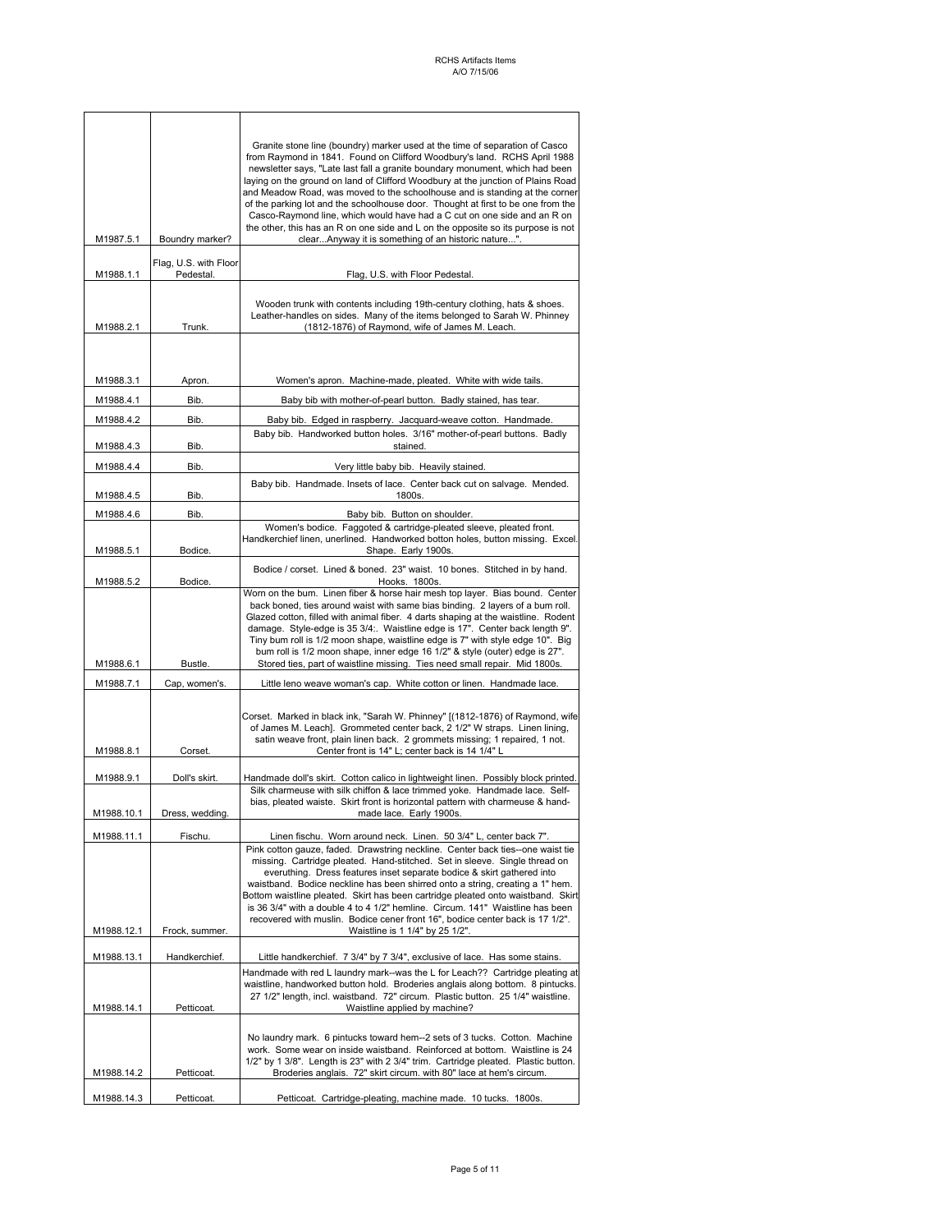| M1987.5.1              | Boundry marker?                    | Granite stone line (boundry) marker used at the time of separation of Casco<br>from Raymond in 1841. Found on Clifford Woodbury's land. RCHS April 1988<br>newsletter says, "Late last fall a granite boundary monument, which had been<br>laying on the ground on land of Clifford Woodbury at the junction of Plains Road<br>and Meadow Road, was moved to the schoolhouse and is standing at the corner<br>of the parking lot and the schoolhouse door. Thought at first to be one from the<br>Casco-Raymond line, which would have had a C cut on one side and an R on<br>the other, this has an R on one side and L on the opposite so its purpose is not<br>clearAnyway it is something of an historic nature". |
|------------------------|------------------------------------|-----------------------------------------------------------------------------------------------------------------------------------------------------------------------------------------------------------------------------------------------------------------------------------------------------------------------------------------------------------------------------------------------------------------------------------------------------------------------------------------------------------------------------------------------------------------------------------------------------------------------------------------------------------------------------------------------------------------------|
| M1988.1.1              | Flag, U.S. with Floor<br>Pedestal. | Flag, U.S. with Floor Pedestal.                                                                                                                                                                                                                                                                                                                                                                                                                                                                                                                                                                                                                                                                                       |
| M1988.2.1              | Trunk.                             | Wooden trunk with contents including 19th-century clothing, hats & shoes.<br>Leather-handles on sides. Many of the items belonged to Sarah W. Phinney<br>(1812-1876) of Raymond, wife of James M. Leach.                                                                                                                                                                                                                                                                                                                                                                                                                                                                                                              |
|                        |                                    |                                                                                                                                                                                                                                                                                                                                                                                                                                                                                                                                                                                                                                                                                                                       |
| M1988.3.1              | Apron.                             | Women's apron. Machine-made, pleated. White with wide tails.                                                                                                                                                                                                                                                                                                                                                                                                                                                                                                                                                                                                                                                          |
| M1988.4.1              | Bib.                               | Baby bib with mother-of-pearl button. Badly stained, has tear.                                                                                                                                                                                                                                                                                                                                                                                                                                                                                                                                                                                                                                                        |
| M1988.4.2<br>M1988.4.3 | Bib.<br>Bib.                       | Baby bib. Edged in raspberry. Jacquard-weave cotton. Handmade.<br>Baby bib. Handworked button holes. 3/16" mother-of-pearl buttons. Badly<br>stained.                                                                                                                                                                                                                                                                                                                                                                                                                                                                                                                                                                 |
| M1988.4.4              | Bib.                               | Very little baby bib. Heavily stained.                                                                                                                                                                                                                                                                                                                                                                                                                                                                                                                                                                                                                                                                                |
| M1988.4.5              | Bib.                               | Baby bib. Handmade. Insets of lace. Center back cut on salvage. Mended.<br>1800s.                                                                                                                                                                                                                                                                                                                                                                                                                                                                                                                                                                                                                                     |
| M1988.4.6              | Bib.                               | Baby bib. Button on shoulder.                                                                                                                                                                                                                                                                                                                                                                                                                                                                                                                                                                                                                                                                                         |
| M1988.5.1              | Bodice.                            | Women's bodice. Faggoted & cartridge-pleated sleeve, pleated front.<br>Handkerchief linen, unerlined. Handworked botton holes, button missing. Excel.<br>Shape. Early 1900s.                                                                                                                                                                                                                                                                                                                                                                                                                                                                                                                                          |
| M1988.5.2              | Bodice.                            | Bodice / corset. Lined & boned. 23" waist. 10 bones. Stitched in by hand.<br>Hooks. 1800s.                                                                                                                                                                                                                                                                                                                                                                                                                                                                                                                                                                                                                            |
| M1988.6.1              | Bustle.                            | Worn on the bum. Linen fiber & horse hair mesh top layer. Bias bound. Center<br>back boned, ties around waist with same bias binding. 2 layers of a bum roll.<br>Glazed cotton, filled with animal fiber. 4 darts shaping at the waistline. Rodent<br>damage. Style-edge is 35 3/4:. Waistline edge is 17". Center back length 9".<br>Tiny bum roll is 1/2 moon shape, waistline edge is 7" with style edge 10". Big<br>bum roll is 1/2 moon shape, inner edge 16 1/2" & style (outer) edge is 27".<br>Stored ties, part of waistline missing. Ties need small repair. Mid 1800s.                                                                                                                                     |
| M1988.7.1              | Cap, women's.                      | Little leno weave woman's cap. White cotton or linen. Handmade lace.                                                                                                                                                                                                                                                                                                                                                                                                                                                                                                                                                                                                                                                  |
| M1988.8.1              | Corset.                            | Corset. Marked in black ink, "Sarah W. Phinney" [(1812-1876) of Raymond, wife<br>of James M. Leach]. Grommeted center back, 2 1/2" W straps. Linen lining,<br>satin weave front, plain linen back. 2 grommets missing; 1 repaired, 1 not.<br>Center front is 14" L; center back is 14 1/4" L                                                                                                                                                                                                                                                                                                                                                                                                                          |
| M1988.9.1              | Doll's skirt.                      | Handmade doll's skirt. Cotton calico in lightweight linen. Possibly block printed.                                                                                                                                                                                                                                                                                                                                                                                                                                                                                                                                                                                                                                    |
| M <sub>1988.10.1</sub> | Dress, wedding                     | Silk charmeuse with silk chiffon & lace trimmed yoke. Handmade lace. Self-<br>bias, pleated waiste. Skirt front is horizontal pattern with charmeuse & hand-<br>made lace. Early 1900s.                                                                                                                                                                                                                                                                                                                                                                                                                                                                                                                               |
| M1988.11.1             | Fischu.                            | Linen fischu. Worn around neck. Linen. 50 3/4" L, center back 7".                                                                                                                                                                                                                                                                                                                                                                                                                                                                                                                                                                                                                                                     |
|                        |                                    | Pink cotton gauze, faded. Drawstring neckline. Center back ties--one waist tie<br>missing. Cartridge pleated. Hand-stitched. Set in sleeve. Single thread on<br>everuthing. Dress features inset separate bodice & skirt gathered into<br>waistband. Bodice neckline has been shirred onto a string, creating a 1" hem.<br>Bottom waistline pleated. Skirt has been cartridge pleated onto waistband. Skirt<br>is 36 3/4" with a double 4 to 4 1/2" hemline. Circum. 141" Waistline has been<br>recovered with muslin. Bodice cener front 16", bodice center back is 17 1/2".                                                                                                                                         |
| M1988.12.1             | Frock, summer.                     | Waistline is 1 1/4" by 25 1/2".                                                                                                                                                                                                                                                                                                                                                                                                                                                                                                                                                                                                                                                                                       |
| M1988.13.1             | Handkerchief.                      | Little handkerchief. 7 3/4" by 7 3/4", exclusive of lace. Has some stains.<br>Handmade with red L laundry mark--was the L for Leach?? Cartridge pleating at<br>waistline, handworked button hold. Broderies anglais along bottom. 8 pintucks.<br>27 1/2" length, incl. waistband. 72" circum. Plastic button. 25 1/4" waistline.                                                                                                                                                                                                                                                                                                                                                                                      |
| M1988.14.1             | Petticoat.                         | Waistline applied by machine?                                                                                                                                                                                                                                                                                                                                                                                                                                                                                                                                                                                                                                                                                         |
| M1988.14.2             | Petticoat.                         | No laundry mark. 6 pintucks toward hem--2 sets of 3 tucks. Cotton. Machine<br>work. Some wear on inside waistband. Reinforced at bottom. Waistline is 24<br>1/2" by 1 3/8". Length is 23" with 2 3/4" trim. Cartridge pleated. Plastic button.<br>Broderies anglais. 72" skirt circum. with 80" lace at hem's circum.                                                                                                                                                                                                                                                                                                                                                                                                 |
| M1988.14.3             | Petticoat.                         | Petticoat. Cartridge-pleating, machine made. 10 tucks. 1800s.                                                                                                                                                                                                                                                                                                                                                                                                                                                                                                                                                                                                                                                         |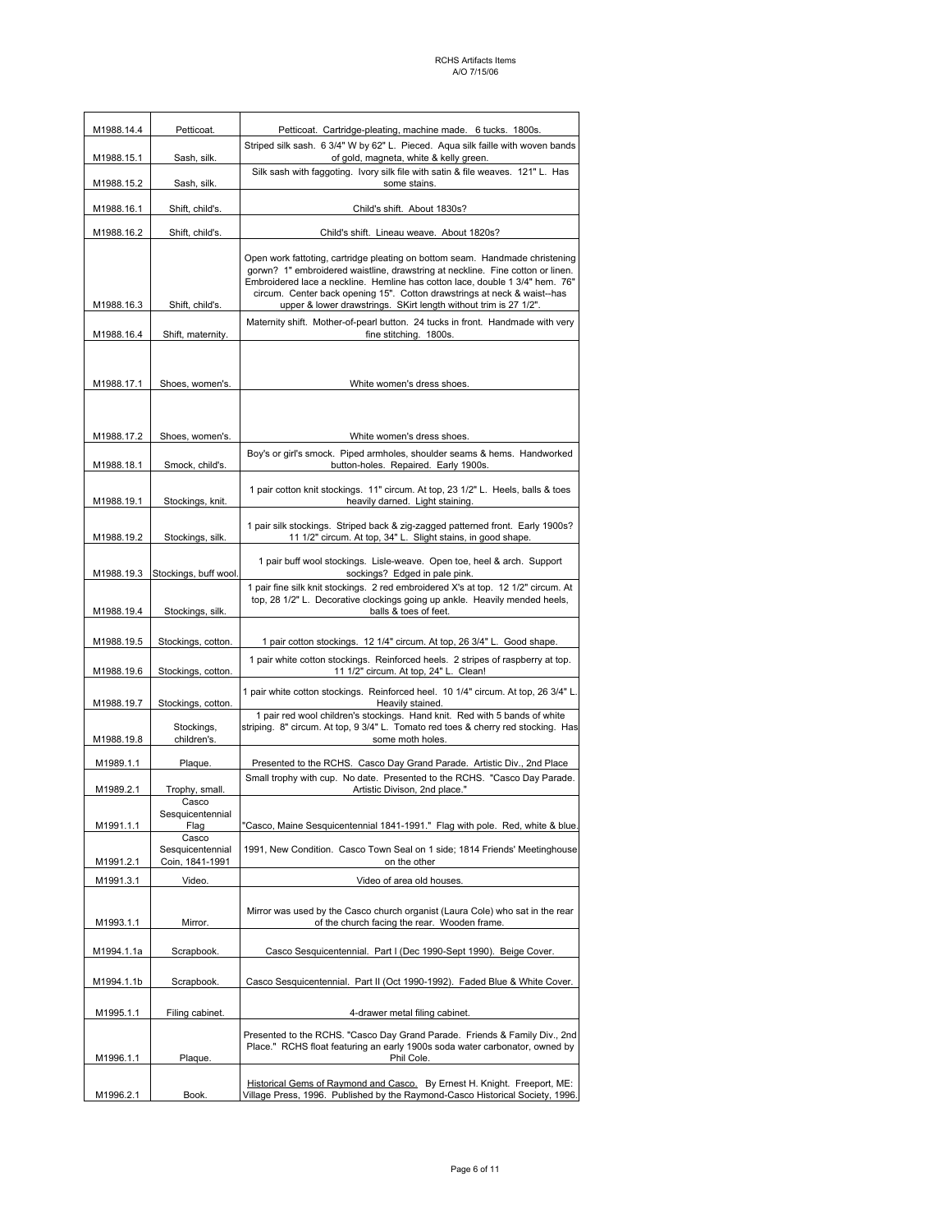| M1988.14.4                    | Petticoat.                                                                                                                               | Petticoat. Cartridge-pleating, machine made. 6 tucks. 1800s.                                                                                                                                                                                                                                                                                                                                   |  |
|-------------------------------|------------------------------------------------------------------------------------------------------------------------------------------|------------------------------------------------------------------------------------------------------------------------------------------------------------------------------------------------------------------------------------------------------------------------------------------------------------------------------------------------------------------------------------------------|--|
| M1988.15.1                    | Striped silk sash. 6 3/4" W by 62" L. Pieced. Aqua silk faille with woven bands<br>of gold, magneta, white & kelly green.<br>Sash, silk. |                                                                                                                                                                                                                                                                                                                                                                                                |  |
| M1988.15.2                    | Sash, silk.                                                                                                                              | Silk sash with faggoting. Ivory silk file with satin & file weaves. 121" L. Has<br>some stains.                                                                                                                                                                                                                                                                                                |  |
| M1988.16.1                    | Shift, child's.                                                                                                                          | Child's shift. About 1830s?                                                                                                                                                                                                                                                                                                                                                                    |  |
| M1988.16.2<br>Shift, child's. |                                                                                                                                          | Child's shift. Lineau weave. About 1820s?                                                                                                                                                                                                                                                                                                                                                      |  |
| M1988.16.3                    | Shift, child's.                                                                                                                          | Open work fattoting, cartridge pleating on bottom seam. Handmade christening<br>gorwn? 1" embroidered waistline, drawstring at neckline. Fine cotton or linen.<br>Embroidered lace a neckline. Hemline has cotton lace, double 1 3/4" hem. 76"<br>circum. Center back opening 15". Cotton drawstrings at neck & waist--has<br>upper & lower drawstrings. SKirt length without trim is 27 1/2". |  |
|                               |                                                                                                                                          | Maternity shift. Mother-of-pearl button. 24 tucks in front. Handmade with very                                                                                                                                                                                                                                                                                                                 |  |
| M1988.16.4                    | Shift, maternity.                                                                                                                        | fine stitching. 1800s.                                                                                                                                                                                                                                                                                                                                                                         |  |
| M1988.17.1                    | Shoes, women's.                                                                                                                          | White women's dress shoes.                                                                                                                                                                                                                                                                                                                                                                     |  |
|                               |                                                                                                                                          |                                                                                                                                                                                                                                                                                                                                                                                                |  |
| M1988.17.2                    | Shoes, women's.                                                                                                                          | White women's dress shoes.                                                                                                                                                                                                                                                                                                                                                                     |  |
| M1988.18.1                    | Smock, child's.                                                                                                                          | Boy's or girl's smock. Piped armholes, shoulder seams & hems. Handworked<br>button-holes. Repaired. Early 1900s.                                                                                                                                                                                                                                                                               |  |
| M1988.19.1                    | Stockings, knit.                                                                                                                         | 1 pair cotton knit stockings. 11" circum. At top, 23 1/2" L. Heels, balls & toes<br>heavily darned. Light staining.                                                                                                                                                                                                                                                                            |  |
| M1988.19.2                    | Stockings, silk.                                                                                                                         | 1 pair silk stockings. Striped back & zig-zagged patterned front. Early 1900s?<br>11 1/2" circum. At top, 34" L. Slight stains, in good shape.                                                                                                                                                                                                                                                 |  |
| M1988.19.3                    | Stockings, buff wool.                                                                                                                    | 1 pair buff wool stockings. Lisle-weave. Open toe, heel & arch. Support<br>sockings? Edged in pale pink.                                                                                                                                                                                                                                                                                       |  |
| M1988.19.4                    | Stockings, silk.                                                                                                                         | 1 pair fine silk knit stockings. 2 red embroidered X's at top. 12 1/2" circum. At<br>top, 28 1/2" L. Decorative clockings going up ankle. Heavily mended heels,<br>balls & toes of feet.                                                                                                                                                                                                       |  |
| M1988.19.5                    | Stockings, cotton.                                                                                                                       | 1 pair cotton stockings. 12 1/4" circum. At top, 26 3/4" L. Good shape.                                                                                                                                                                                                                                                                                                                        |  |
| M1988.19.6                    | Stockings, cotton.                                                                                                                       | 1 pair white cotton stockings. Reinforced heels. 2 stripes of raspberry at top.<br>11 1/2" circum. At top, 24" L. Clean!                                                                                                                                                                                                                                                                       |  |
| M1988.19.7                    | Stockings, cotton.                                                                                                                       | 1 pair white cotton stockings. Reinforced heel. 10 1/4" circum. At top, 26 3/4" L.<br>Heavily stained.                                                                                                                                                                                                                                                                                         |  |
| M1988.19.8                    | Stockings,<br>children's.                                                                                                                | 1 pair red wool children's stockings. Hand knit. Red with 5 bands of white<br>striping. 8" circum. At top, 9 3/4" L. Tomato red toes & cherry red stocking. Has<br>some moth holes.                                                                                                                                                                                                            |  |
| M1989.1.1                     | Plaque.                                                                                                                                  | Presented to the RCHS. Casco Day Grand Parade. Artistic Div., 2nd Place                                                                                                                                                                                                                                                                                                                        |  |
| M1989.2.1                     | Trophy, small.                                                                                                                           | Small trophy with cup. No date. Presented to the RCHS. "Casco Day Parade.<br>Artistic Divison, 2nd place."                                                                                                                                                                                                                                                                                     |  |
|                               | Casco<br>Sesquicentennial                                                                                                                |                                                                                                                                                                                                                                                                                                                                                                                                |  |
| M1991.1.1                     | Flag<br>Casco<br>Sesquicentennial                                                                                                        | "Casco, Maine Sesquicentennial 1841-1991." Flag with pole. Red, white & blue.<br>1991, New Condition. Casco Town Seal on 1 side; 1814 Friends' Meetinghouse                                                                                                                                                                                                                                    |  |
| M1991.2.1                     | Coin, 1841-1991                                                                                                                          | on the other                                                                                                                                                                                                                                                                                                                                                                                   |  |
| M1991.3.1                     | Video.                                                                                                                                   | Video of area old houses.                                                                                                                                                                                                                                                                                                                                                                      |  |
| M1993.1.1                     | Mirror.                                                                                                                                  | Mirror was used by the Casco church organist (Laura Cole) who sat in the rear<br>of the church facing the rear. Wooden frame.                                                                                                                                                                                                                                                                  |  |
| M1994.1.1a                    | Scrapbook.                                                                                                                               | Casco Sesquicentennial. Part I (Dec 1990-Sept 1990). Beige Cover.                                                                                                                                                                                                                                                                                                                              |  |
| M1994.1.1b                    | Scrapbook.                                                                                                                               | Casco Sesquicentennial. Part II (Oct 1990-1992). Faded Blue & White Cover.                                                                                                                                                                                                                                                                                                                     |  |
| M1995.1.1                     | Filing cabinet.                                                                                                                          | 4-drawer metal filing cabinet.                                                                                                                                                                                                                                                                                                                                                                 |  |
| M1996.1.1                     | Plaque.                                                                                                                                  | Presented to the RCHS. "Casco Day Grand Parade. Friends & Family Div., 2nd<br>Place." RCHS float featuring an early 1900s soda water carbonator, owned by<br>Phil Cole.                                                                                                                                                                                                                        |  |
| M1996.2.1                     | Book.                                                                                                                                    | Historical Gems of Raymond and Casco. By Ernest H. Knight. Freeport, ME:<br>Village Press, 1996. Published by the Raymond-Casco Historical Society, 1996.                                                                                                                                                                                                                                      |  |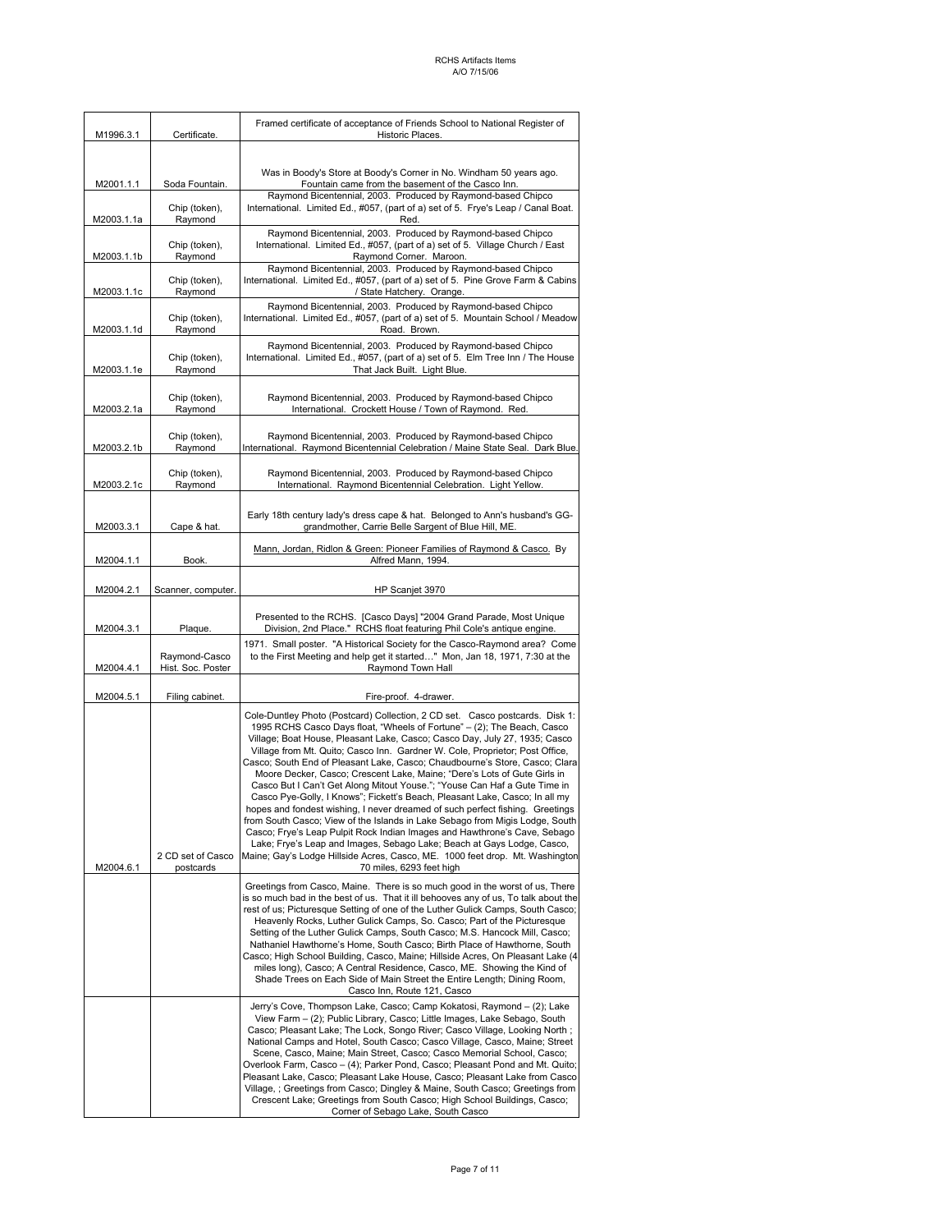| M1996.3.1  | Certificate.                       | Framed certificate of acceptance of Friends School to National Register of<br>Historic Places.                                                                                                                                                                                                                                                                                                                                                                                                                                                                                                                                                                                                                                                                                                                                                                                                                                                                                                                                                                                   |
|------------|------------------------------------|----------------------------------------------------------------------------------------------------------------------------------------------------------------------------------------------------------------------------------------------------------------------------------------------------------------------------------------------------------------------------------------------------------------------------------------------------------------------------------------------------------------------------------------------------------------------------------------------------------------------------------------------------------------------------------------------------------------------------------------------------------------------------------------------------------------------------------------------------------------------------------------------------------------------------------------------------------------------------------------------------------------------------------------------------------------------------------|
|            |                                    |                                                                                                                                                                                                                                                                                                                                                                                                                                                                                                                                                                                                                                                                                                                                                                                                                                                                                                                                                                                                                                                                                  |
| M2001.1.1  | Soda Fountain.                     | Was in Boody's Store at Boody's Corner in No. Windham 50 years ago.<br>Fountain came from the basement of the Casco Inn.                                                                                                                                                                                                                                                                                                                                                                                                                                                                                                                                                                                                                                                                                                                                                                                                                                                                                                                                                         |
| M2003.1.1a | Chip (token),<br>Raymond           | Raymond Bicentennial, 2003. Produced by Raymond-based Chipco<br>International. Limited Ed., #057, (part of a) set of 5. Frye's Leap / Canal Boat.<br>Red.                                                                                                                                                                                                                                                                                                                                                                                                                                                                                                                                                                                                                                                                                                                                                                                                                                                                                                                        |
| M2003.1.1b | Chip (token),<br>Raymond           | Raymond Bicentennial, 2003. Produced by Raymond-based Chipco<br>International. Limited Ed., #057, (part of a) set of 5. Village Church / East<br>Raymond Corner. Maroon.                                                                                                                                                                                                                                                                                                                                                                                                                                                                                                                                                                                                                                                                                                                                                                                                                                                                                                         |
| M2003.1.1c | Chip (token),<br>Raymond           | Raymond Bicentennial, 2003. Produced by Raymond-based Chipco<br>International. Limited Ed., #057, (part of a) set of 5. Pine Grove Farm & Cabins<br>/ State Hatchery. Orange.                                                                                                                                                                                                                                                                                                                                                                                                                                                                                                                                                                                                                                                                                                                                                                                                                                                                                                    |
|            | Chip (token),                      | Raymond Bicentennial, 2003. Produced by Raymond-based Chipco<br>International. Limited Ed., #057, (part of a) set of 5. Mountain School / Meadow                                                                                                                                                                                                                                                                                                                                                                                                                                                                                                                                                                                                                                                                                                                                                                                                                                                                                                                                 |
| M2003.1.1d | Raymond<br>Chip (token),           | Road. Brown.<br>Raymond Bicentennial, 2003. Produced by Raymond-based Chipco<br>International. Limited Ed., #057, (part of a) set of 5. Elm Tree Inn / The House                                                                                                                                                                                                                                                                                                                                                                                                                                                                                                                                                                                                                                                                                                                                                                                                                                                                                                                 |
| M2003.1.1e | Raymond                            | That Jack Built. Light Blue.                                                                                                                                                                                                                                                                                                                                                                                                                                                                                                                                                                                                                                                                                                                                                                                                                                                                                                                                                                                                                                                     |
| M2003.2.1a | Chip (token),<br>Raymond           | Raymond Bicentennial, 2003. Produced by Raymond-based Chipco<br>International. Crockett House / Town of Raymond. Red.                                                                                                                                                                                                                                                                                                                                                                                                                                                                                                                                                                                                                                                                                                                                                                                                                                                                                                                                                            |
| M2003.2.1b | Chip (token),<br>Raymond           | Raymond Bicentennial, 2003. Produced by Raymond-based Chipco<br>International. Raymond Bicentennial Celebration / Maine State Seal. Dark Blue.                                                                                                                                                                                                                                                                                                                                                                                                                                                                                                                                                                                                                                                                                                                                                                                                                                                                                                                                   |
| M2003.2.1c | Chip (token),<br>Raymond           | Raymond Bicentennial, 2003. Produced by Raymond-based Chipco<br>International. Raymond Bicentennial Celebration. Light Yellow.                                                                                                                                                                                                                                                                                                                                                                                                                                                                                                                                                                                                                                                                                                                                                                                                                                                                                                                                                   |
| M2003.3.1  | Cape & hat.                        | Early 18th century lady's dress cape & hat. Belonged to Ann's husband's GG-<br>grandmother, Carrie Belle Sargent of Blue Hill, ME.                                                                                                                                                                                                                                                                                                                                                                                                                                                                                                                                                                                                                                                                                                                                                                                                                                                                                                                                               |
| M2004.1.1  | Book.                              | Mann, Jordan, Ridlon & Green: Pioneer Families of Raymond & Casco. By<br>Alfred Mann, 1994.                                                                                                                                                                                                                                                                                                                                                                                                                                                                                                                                                                                                                                                                                                                                                                                                                                                                                                                                                                                      |
| M2004.2.1  | Scanner, computer.                 | HP Scanjet 3970                                                                                                                                                                                                                                                                                                                                                                                                                                                                                                                                                                                                                                                                                                                                                                                                                                                                                                                                                                                                                                                                  |
|            |                                    |                                                                                                                                                                                                                                                                                                                                                                                                                                                                                                                                                                                                                                                                                                                                                                                                                                                                                                                                                                                                                                                                                  |
| M2004.3.1  | Plaque.                            | Presented to the RCHS. [Casco Days] "2004 Grand Parade, Most Unique<br>Division, 2nd Place." RCHS float featuring Phil Cole's antique engine.                                                                                                                                                                                                                                                                                                                                                                                                                                                                                                                                                                                                                                                                                                                                                                                                                                                                                                                                    |
| M2004.4.1  | Raymond-Casco<br>Hist. Soc. Poster | 1971. Small poster. "A Historical Society for the Casco-Raymond area? Come<br>to the First Meeting and help get it started" Mon, Jan 18, 1971, 7:30 at the<br>Raymond Town Hall                                                                                                                                                                                                                                                                                                                                                                                                                                                                                                                                                                                                                                                                                                                                                                                                                                                                                                  |
| M2004.5.1  | Filing cabinet.                    | Fire-proof. 4-drawer.                                                                                                                                                                                                                                                                                                                                                                                                                                                                                                                                                                                                                                                                                                                                                                                                                                                                                                                                                                                                                                                            |
| M2004.6.1  | 2 CD set of Casco<br>postcards     | Cole-Duntley Photo (Postcard) Collection, 2 CD set. Casco postcards. Disk 1:<br>1995 RCHS Casco Days float, "Wheels of Fortune" - (2); The Beach, Casco<br>Village; Boat House, Pleasant Lake, Casco; Casco Day, July 27, 1935; Casco<br>Village from Mt. Quito; Casco Inn. Gardner W. Cole, Proprietor; Post Office,<br>Casco; South End of Pleasant Lake, Casco; Chaudbourne's Store, Casco; Clara<br>Moore Decker, Casco; Crescent Lake, Maine; "Dere's Lots of Gute Girls in<br>Casco But I Can't Get Along Mitout Youse."; "Youse Can Haf a Gute Time in<br>Casco Pye-Golly, I Knows"; Fickett's Beach, Pleasant Lake, Casco; In all my<br>hopes and fondest wishing, I never dreamed of such perfect fishing. Greetings<br>from South Casco; View of the Islands in Lake Sebago from Migis Lodge, South<br>Casco; Frye's Leap Pulpit Rock Indian Images and Hawthrone's Cave, Sebago<br>Lake; Frye's Leap and Images, Sebago Lake; Beach at Gays Lodge, Casco,<br>Maine; Gay's Lodge Hillside Acres, Casco, ME. 1000 feet drop. Mt. Washington<br>70 miles, 6293 feet high |
|            |                                    | Greetings from Casco, Maine. There is so much good in the worst of us, There<br>is so much bad in the best of us. That it ill behooves any of us, To talk about the                                                                                                                                                                                                                                                                                                                                                                                                                                                                                                                                                                                                                                                                                                                                                                                                                                                                                                              |
|            |                                    | rest of us; Picturesque Setting of one of the Luther Gulick Camps, South Casco;<br>Heavenly Rocks, Luther Gulick Camps, So. Casco; Part of the Picturesque<br>Setting of the Luther Gulick Camps, South Casco; M.S. Hancock Mill, Casco;<br>Nathaniel Hawthorne's Home, South Casco; Birth Place of Hawthorne, South<br>Casco; High School Building, Casco, Maine; Hillside Acres, On Pleasant Lake (4)<br>miles long), Casco; A Central Residence, Casco, ME. Showing the Kind of<br>Shade Trees on Each Side of Main Street the Entire Length; Dining Room,<br>Casco Inn, Route 121, Casco                                                                                                                                                                                                                                                                                                                                                                                                                                                                                     |
|            |                                    | Jerry's Cove, Thompson Lake, Casco; Camp Kokatosi, Raymond - (2); Lake<br>View Farm - (2); Public Library, Casco; Little Images, Lake Sebago, South<br>Casco; Pleasant Lake; The Lock, Songo River; Casco Village, Looking North;<br>National Camps and Hotel, South Casco; Casco Village, Casco, Maine; Street<br>Scene, Casco, Maine; Main Street, Casco; Casco Memorial School, Casco;<br>Overlook Farm, Casco - (4); Parker Pond, Casco; Pleasant Pond and Mt. Quito;<br>Pleasant Lake, Casco; Pleasant Lake House, Casco; Pleasant Lake from Casco<br>Village, ; Greetings from Casco; Dingley & Maine, South Casco; Greetings from<br>Crescent Lake; Greetings from South Casco; High School Buildings, Casco;<br>Corner of Sebago Lake, South Casco                                                                                                                                                                                                                                                                                                                       |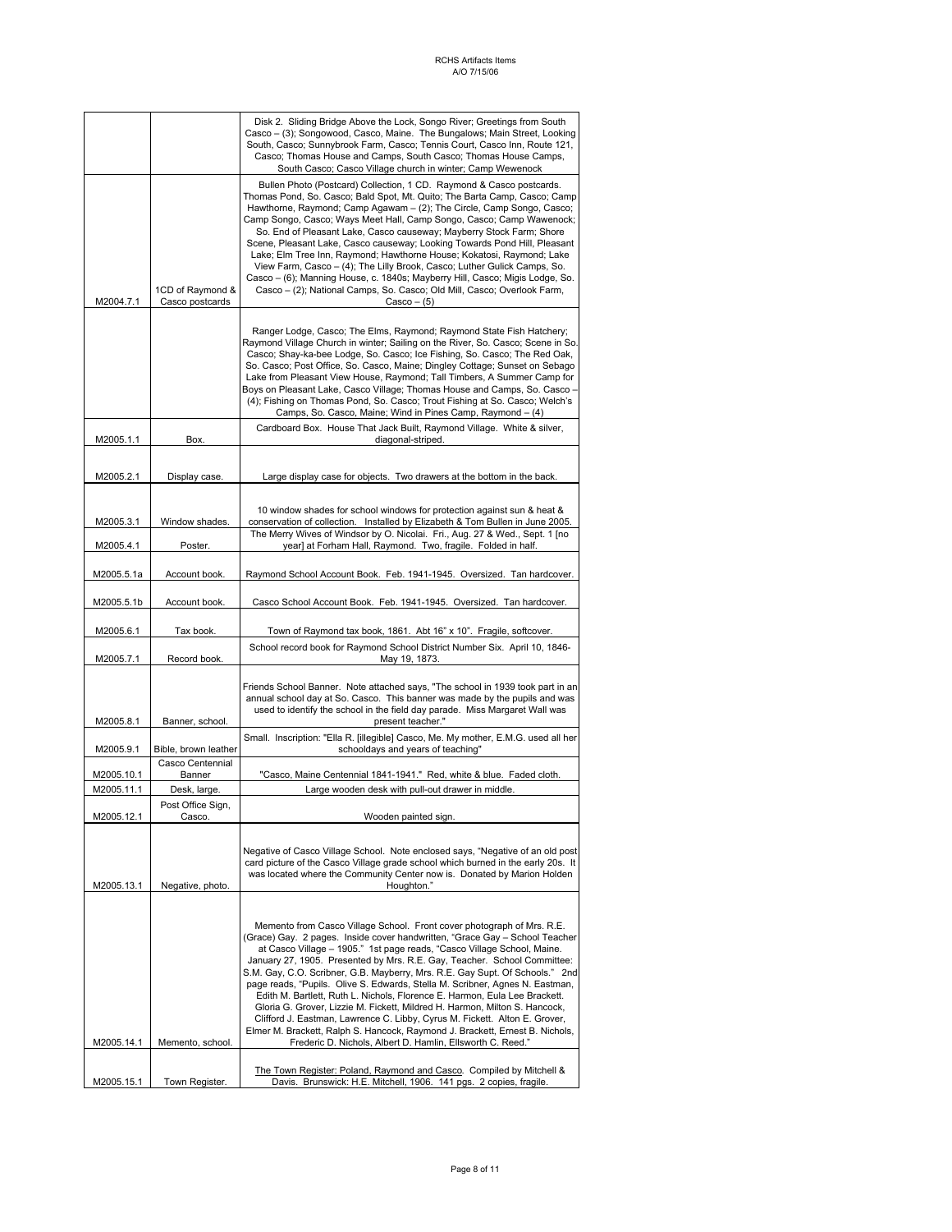|                          |                                     | Disk 2. Sliding Bridge Above the Lock, Songo River; Greetings from South<br>Casco - (3); Songowood, Casco, Maine. The Bungalows; Main Street, Looking<br>South, Casco; Sunnybrook Farm, Casco; Tennis Court, Casco Inn, Route 121,<br>Casco; Thomas House and Camps, South Casco; Thomas House Camps,<br>South Casco; Casco Village church in winter; Camp Wewenock                                                                                                                                                                                                                                                                                                                                                                                                                                                                                                                                                                          |
|--------------------------|-------------------------------------|----------------------------------------------------------------------------------------------------------------------------------------------------------------------------------------------------------------------------------------------------------------------------------------------------------------------------------------------------------------------------------------------------------------------------------------------------------------------------------------------------------------------------------------------------------------------------------------------------------------------------------------------------------------------------------------------------------------------------------------------------------------------------------------------------------------------------------------------------------------------------------------------------------------------------------------------|
| M2004.7.1                | 1CD of Raymond &<br>Casco postcards | Bullen Photo (Postcard) Collection, 1 CD. Raymond & Casco postcards.<br>Thomas Pond, So. Casco; Bald Spot, Mt. Quito; The Barta Camp, Casco; Camp<br>Hawthorne, Raymond; Camp Agawam - (2); The Circle, Camp Songo, Casco;<br>Camp Songo, Casco; Ways Meet Hall, Camp Songo, Casco; Camp Wawenock;<br>So. End of Pleasant Lake, Casco causeway; Mayberry Stock Farm; Shore<br>Scene, Pleasant Lake, Casco causeway; Looking Towards Pond Hill, Pleasant<br>Lake; Elm Tree Inn, Raymond; Hawthorne House; Kokatosi, Raymond; Lake<br>View Farm, Casco - (4); The Lilly Brook, Casco; Luther Gulick Camps, So.<br>Casco - (6); Manning House, c. 1840s; Mayberry Hill, Casco; Migis Lodge, So.<br>Casco - (2); National Camps, So. Casco; Old Mill, Casco; Overlook Farm,<br>$Casco - (5)$                                                                                                                                                     |
|                          |                                     | Ranger Lodge, Casco; The Elms, Raymond; Raymond State Fish Hatchery;<br>Raymond Village Church in winter; Sailing on the River, So. Casco; Scene in So.<br>Casco; Shay-ka-bee Lodge, So. Casco; Ice Fishing, So. Casco; The Red Oak,<br>So. Casco; Post Office, So. Casco, Maine; Dingley Cottage; Sunset on Sebago<br>Lake from Pleasant View House, Raymond; Tall Timbers, A Summer Camp for<br>Boys on Pleasant Lake, Casco Village; Thomas House and Camps, So. Casco -<br>(4); Fishing on Thomas Pond, So. Casco; Trout Fishing at So. Casco; Welch's<br>Camps, So. Casco, Maine; Wind in Pines Camp, Raymond - (4)                                                                                                                                                                                                                                                                                                                     |
| M2005.1.1                | Box.                                | Cardboard Box. House That Jack Built, Raymond Village. White & silver,<br>diagonal-striped.                                                                                                                                                                                                                                                                                                                                                                                                                                                                                                                                                                                                                                                                                                                                                                                                                                                  |
| M2005.2.1                | Display case.                       | Large display case for objects. Two drawers at the bottom in the back.                                                                                                                                                                                                                                                                                                                                                                                                                                                                                                                                                                                                                                                                                                                                                                                                                                                                       |
| M2005.3.1                | Window shades.                      | 10 window shades for school windows for protection against sun & heat &<br>conservation of collection. Installed by Elizabeth & Tom Bullen in June 2005.                                                                                                                                                                                                                                                                                                                                                                                                                                                                                                                                                                                                                                                                                                                                                                                     |
| M2005.4.1                | Poster.                             | The Merry Wives of Windsor by O. Nicolai. Fri., Aug. 27 & Wed., Sept. 1 [no<br>year] at Forham Hall, Raymond. Two, fragile. Folded in half.                                                                                                                                                                                                                                                                                                                                                                                                                                                                                                                                                                                                                                                                                                                                                                                                  |
| M2005.5.1a               | Account book.                       | Raymond School Account Book. Feb. 1941-1945. Oversized. Tan hardcover.                                                                                                                                                                                                                                                                                                                                                                                                                                                                                                                                                                                                                                                                                                                                                                                                                                                                       |
| M2005.5.1b               | Account book.                       | Casco School Account Book. Feb. 1941-1945. Oversized. Tan hardcover.                                                                                                                                                                                                                                                                                                                                                                                                                                                                                                                                                                                                                                                                                                                                                                                                                                                                         |
| M2005.6.1                | Tax book.                           | Town of Raymond tax book, 1861. Abt 16" x 10". Fragile, softcover.                                                                                                                                                                                                                                                                                                                                                                                                                                                                                                                                                                                                                                                                                                                                                                                                                                                                           |
| M2005.7.1                | Record book.                        | School record book for Raymond School District Number Six. April 10, 1846-<br>May 19, 1873.                                                                                                                                                                                                                                                                                                                                                                                                                                                                                                                                                                                                                                                                                                                                                                                                                                                  |
| M2005.8.1                | Banner, school.                     | Friends School Banner. Note attached says, "The school in 1939 took part in an<br>annual school day at So. Casco. This banner was made by the pupils and was<br>used to identify the school in the field day parade. Miss Margaret Wall was<br>present teacher."                                                                                                                                                                                                                                                                                                                                                                                                                                                                                                                                                                                                                                                                             |
| M2005.9.1                | Bible, brown leather                | Small. Inscription: "Ella R. [illegible] Casco, Me. My mother, E.M.G. used all her<br>schooldays and years of teaching"                                                                                                                                                                                                                                                                                                                                                                                                                                                                                                                                                                                                                                                                                                                                                                                                                      |
|                          | Casco Centennial<br>Banner          | "Casco, Maine Centennial 1841-1941." Red, white & blue. Faded cloth.                                                                                                                                                                                                                                                                                                                                                                                                                                                                                                                                                                                                                                                                                                                                                                                                                                                                         |
| M2005.10.1<br>M2005.11.1 | Desk, large.                        | Large wooden desk with pull-out drawer in middle.                                                                                                                                                                                                                                                                                                                                                                                                                                                                                                                                                                                                                                                                                                                                                                                                                                                                                            |
|                          | Post Office Sign,                   |                                                                                                                                                                                                                                                                                                                                                                                                                                                                                                                                                                                                                                                                                                                                                                                                                                                                                                                                              |
| M2005.12.1               | Casco.                              | Wooden painted sign.                                                                                                                                                                                                                                                                                                                                                                                                                                                                                                                                                                                                                                                                                                                                                                                                                                                                                                                         |
| M2005.13.1               | Negative, photo.                    | Negative of Casco Village School. Note enclosed says, "Negative of an old post<br>card picture of the Casco Village grade school which burned in the early 20s. It<br>was located where the Community Center now is. Donated by Marion Holden<br>Houghton."                                                                                                                                                                                                                                                                                                                                                                                                                                                                                                                                                                                                                                                                                  |
| M2005.14.1               | Memento, school.                    | Memento from Casco Village School. Front cover photograph of Mrs. R.E.<br>(Grace) Gay. 2 pages. Inside cover handwritten, "Grace Gay - School Teacher<br>at Casco Village - 1905." 1st page reads, "Casco Village School, Maine.<br>January 27, 1905. Presented by Mrs. R.E. Gay, Teacher. School Committee:<br>S.M. Gay, C.O. Scribner, G.B. Mayberry, Mrs. R.E. Gay Supt. Of Schools." 2nd<br>page reads, "Pupils. Olive S. Edwards, Stella M. Scribner, Agnes N. Eastman,<br>Edith M. Bartlett, Ruth L. Nichols, Florence E. Harmon, Eula Lee Brackett.<br>Gloria G. Grover, Lizzie M. Fickett, Mildred H. Harmon, Milton S. Hancock,<br>Clifford J. Eastman, Lawrence C. Libby, Cyrus M. Fickett. Alton E. Grover,<br>Elmer M. Brackett, Ralph S. Hancock, Raymond J. Brackett, Ernest B. Nichols,<br>Frederic D. Nichols, Albert D. Hamlin, Ellsworth C. Reed."<br>The Town Register: Poland, Raymond and Casco. Compiled by Mitchell & |
| M2005.15.1               | Town Register.                      | Davis. Brunswick: H.E. Mitchell, 1906. 141 pgs. 2 copies, fragile.                                                                                                                                                                                                                                                                                                                                                                                                                                                                                                                                                                                                                                                                                                                                                                                                                                                                           |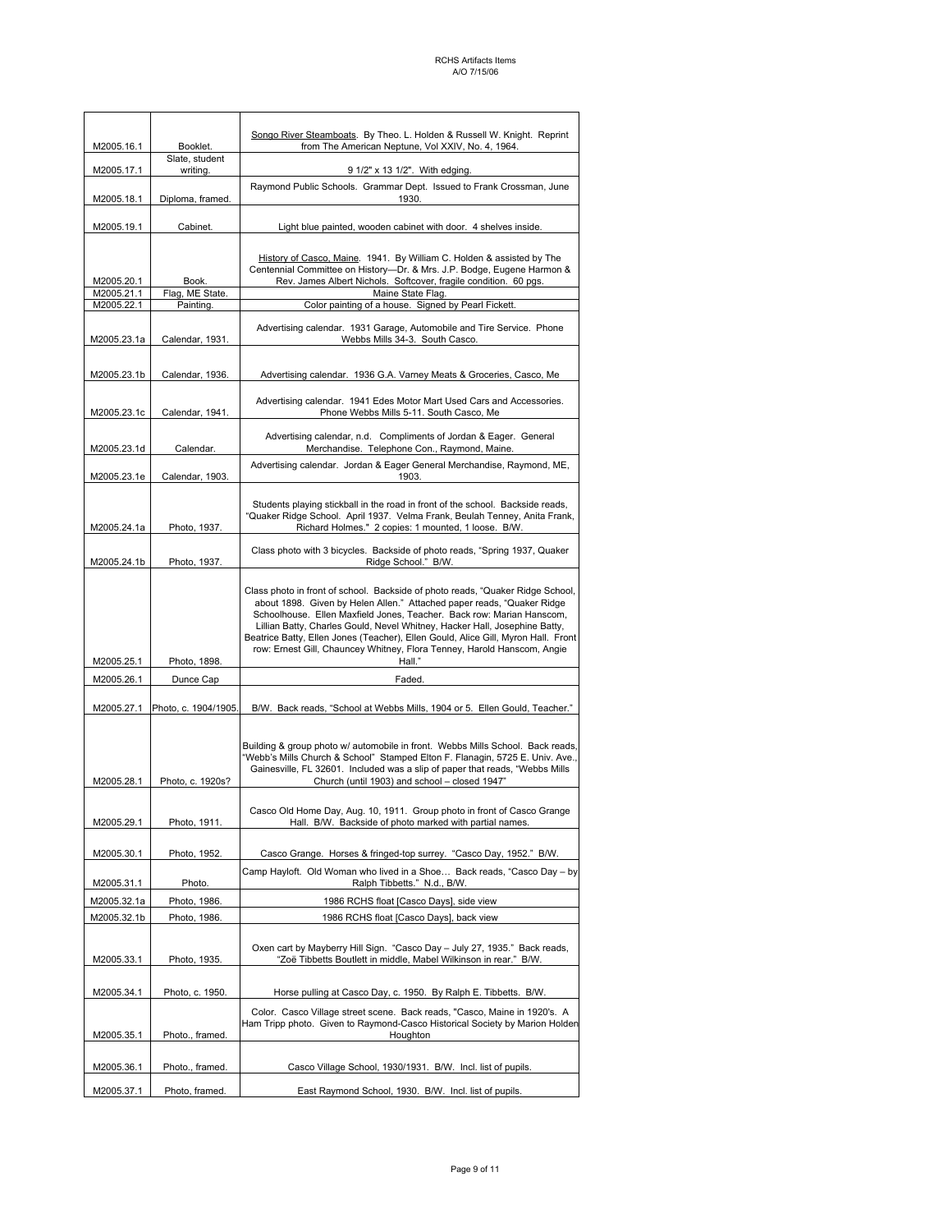| M2005.16.1                   | Booklet.                                                                                                                                                                                                                            | Songo River Steamboats. By Theo. L. Holden & Russell W. Knight. Reprint<br>from The American Neptune, Vol XXIV, No. 4, 1964.                                                                                                                                                                                                                                                                                                                                                              |
|------------------------------|-------------------------------------------------------------------------------------------------------------------------------------------------------------------------------------------------------------------------------------|-------------------------------------------------------------------------------------------------------------------------------------------------------------------------------------------------------------------------------------------------------------------------------------------------------------------------------------------------------------------------------------------------------------------------------------------------------------------------------------------|
| M2005.17.1                   | Slate, student<br>writing.                                                                                                                                                                                                          | 9 1/2" x 13 1/2". With edging.                                                                                                                                                                                                                                                                                                                                                                                                                                                            |
| M2005.18.1                   | Diploma, framed.                                                                                                                                                                                                                    | Raymond Public Schools. Grammar Dept. Issued to Frank Crossman, June<br>1930.                                                                                                                                                                                                                                                                                                                                                                                                             |
| M2005.19.1                   | Cabinet.                                                                                                                                                                                                                            | Light blue painted, wooden cabinet with door. 4 shelves inside.                                                                                                                                                                                                                                                                                                                                                                                                                           |
| M2005.20.1<br>M2005.21.1     | Book.<br>Flag, ME State.                                                                                                                                                                                                            | History of Casco, Maine. 1941. By William C. Holden & assisted by The<br>Centennial Committee on History-Dr. & Mrs. J.P. Bodge, Eugene Harmon &<br>Rev. James Albert Nichols. Softcover, fragile condition. 60 pgs.<br>Maine State Flag.                                                                                                                                                                                                                                                  |
| M2005.22.1                   | Painting.                                                                                                                                                                                                                           | Color painting of a house. Signed by Pearl Fickett.                                                                                                                                                                                                                                                                                                                                                                                                                                       |
| M2005.23.1a                  | Advertising calendar. 1931 Garage, Automobile and Tire Service. Phone<br>Calendar, 1931.<br>Webbs Mills 34-3. South Casco.                                                                                                          |                                                                                                                                                                                                                                                                                                                                                                                                                                                                                           |
| M2005.23.1b                  | Calendar, 1936.                                                                                                                                                                                                                     | Advertising calendar. 1936 G.A. Varney Meats & Groceries, Casco, Me                                                                                                                                                                                                                                                                                                                                                                                                                       |
| M2005.23.1c                  | Calendar, 1941.                                                                                                                                                                                                                     | Advertising calendar. 1941 Edes Motor Mart Used Cars and Accessories.<br>Phone Webbs Mills 5-11. South Casco, Me                                                                                                                                                                                                                                                                                                                                                                          |
| M2005.23.1d                  | Calendar.                                                                                                                                                                                                                           | Advertising calendar, n.d. Compliments of Jordan & Eager. General<br>Merchandise. Telephone Con., Raymond, Maine.                                                                                                                                                                                                                                                                                                                                                                         |
| M2005.23.1e                  | Calendar, 1903.                                                                                                                                                                                                                     | Advertising calendar. Jordan & Eager General Merchandise, Raymond, ME,<br>1903.                                                                                                                                                                                                                                                                                                                                                                                                           |
| M2005.24.1a                  | Students playing stickball in the road in front of the school. Backside reads,<br>"Quaker Ridge School. April 1937. Velma Frank, Beulah Tenney, Anita Frank,<br>Richard Holmes." 2 copies: 1 mounted, 1 loose. B/W.<br>Photo, 1937. |                                                                                                                                                                                                                                                                                                                                                                                                                                                                                           |
| M2005.24.1b                  | Photo, 1937.                                                                                                                                                                                                                        | Class photo with 3 bicycles. Backside of photo reads, "Spring 1937, Quaker<br>Ridge School." B/W.                                                                                                                                                                                                                                                                                                                                                                                         |
| M2005.25.1                   | Photo, 1898.                                                                                                                                                                                                                        | Class photo in front of school. Backside of photo reads, "Quaker Ridge School,<br>about 1898. Given by Helen Allen." Attached paper reads, "Quaker Ridge<br>Schoolhouse. Ellen Maxfield Jones, Teacher. Back row: Marian Hanscom,<br>Lillian Batty, Charles Gould, Nevel Whitney, Hacker Hall, Josephine Batty,<br>Beatrice Batty, Ellen Jones (Teacher), Ellen Gould, Alice Gill, Myron Hall. Front<br>row: Ernest Gill, Chauncey Whitney, Flora Tenney, Harold Hanscom, Angie<br>Hall." |
| M2005.26.1                   | Dunce Cap                                                                                                                                                                                                                           | Faded.                                                                                                                                                                                                                                                                                                                                                                                                                                                                                    |
| M2005.27.1                   | Photo, c. 1904/1905.                                                                                                                                                                                                                | B/W. Back reads, "School at Webbs Mills, 1904 or 5. Ellen Gould, Teacher."                                                                                                                                                                                                                                                                                                                                                                                                                |
| M2005.28.1                   | Photo, c. 1920s?                                                                                                                                                                                                                    | Building & group photo w/ automobile in front. Webbs Mills School. Back reads,<br>"Webb's Mills Church & School" Stamped Elton F. Flanagin, 5725 E. Univ. Ave.,<br>Gainesville, FL 32601. Included was a slip of paper that reads, "Webbs Mills<br>Church (until 1903) and school - closed 1947"                                                                                                                                                                                          |
| M2005.29.1                   | Photo, 1911.                                                                                                                                                                                                                        | Casco Old Home Day, Aug. 10, 1911. Group photo in front of Casco Grange<br>Hall. B/W. Backside of photo marked with partial names.                                                                                                                                                                                                                                                                                                                                                        |
| M2005.30.1                   | Photo, 1952.                                                                                                                                                                                                                        | Casco Grange. Horses & fringed-top surrey. "Casco Day, 1952." B/W.                                                                                                                                                                                                                                                                                                                                                                                                                        |
|                              |                                                                                                                                                                                                                                     | Camp Hayloft. Old Woman who lived in a Shoe Back reads, "Casco Day - by                                                                                                                                                                                                                                                                                                                                                                                                                   |
| M2005.31.1                   | Photo.                                                                                                                                                                                                                              | Ralph Tibbetts." N.d., B/W.                                                                                                                                                                                                                                                                                                                                                                                                                                                               |
| M2005.32.1a                  | Photo, 1986.                                                                                                                                                                                                                        | 1986 RCHS float [Casco Days], side view                                                                                                                                                                                                                                                                                                                                                                                                                                                   |
| M2005.32.1b                  | Photo, 1986.                                                                                                                                                                                                                        | 1986 RCHS float [Casco Days], back view                                                                                                                                                                                                                                                                                                                                                                                                                                                   |
| M2005.33.1                   | Photo, 1935.                                                                                                                                                                                                                        | Oxen cart by Mayberry Hill Sign. "Casco Day - July 27, 1935." Back reads,<br>"Zoë Tibbetts Boutlett in middle, Mabel Wilkinson in rear." B/W.                                                                                                                                                                                                                                                                                                                                             |
| M2005.34.1                   | Photo, c. 1950.                                                                                                                                                                                                                     | Horse pulling at Casco Day, c. 1950. By Ralph E. Tibbetts. B/W.                                                                                                                                                                                                                                                                                                                                                                                                                           |
| M2005.35.1                   | Photo., framed.                                                                                                                                                                                                                     | Color. Casco Village street scene. Back reads, "Casco, Maine in 1920's. A<br>Ham Tripp photo. Given to Raymond-Casco Historical Society by Marion Holden<br>Houghton                                                                                                                                                                                                                                                                                                                      |
| M2005.36.1                   | Photo., framed.                                                                                                                                                                                                                     | Casco Village School, 1930/1931. B/W. Incl. list of pupils.                                                                                                                                                                                                                                                                                                                                                                                                                               |
| M2005.37.1<br>Photo, framed. |                                                                                                                                                                                                                                     | East Raymond School, 1930. B/W. Incl. list of pupils.                                                                                                                                                                                                                                                                                                                                                                                                                                     |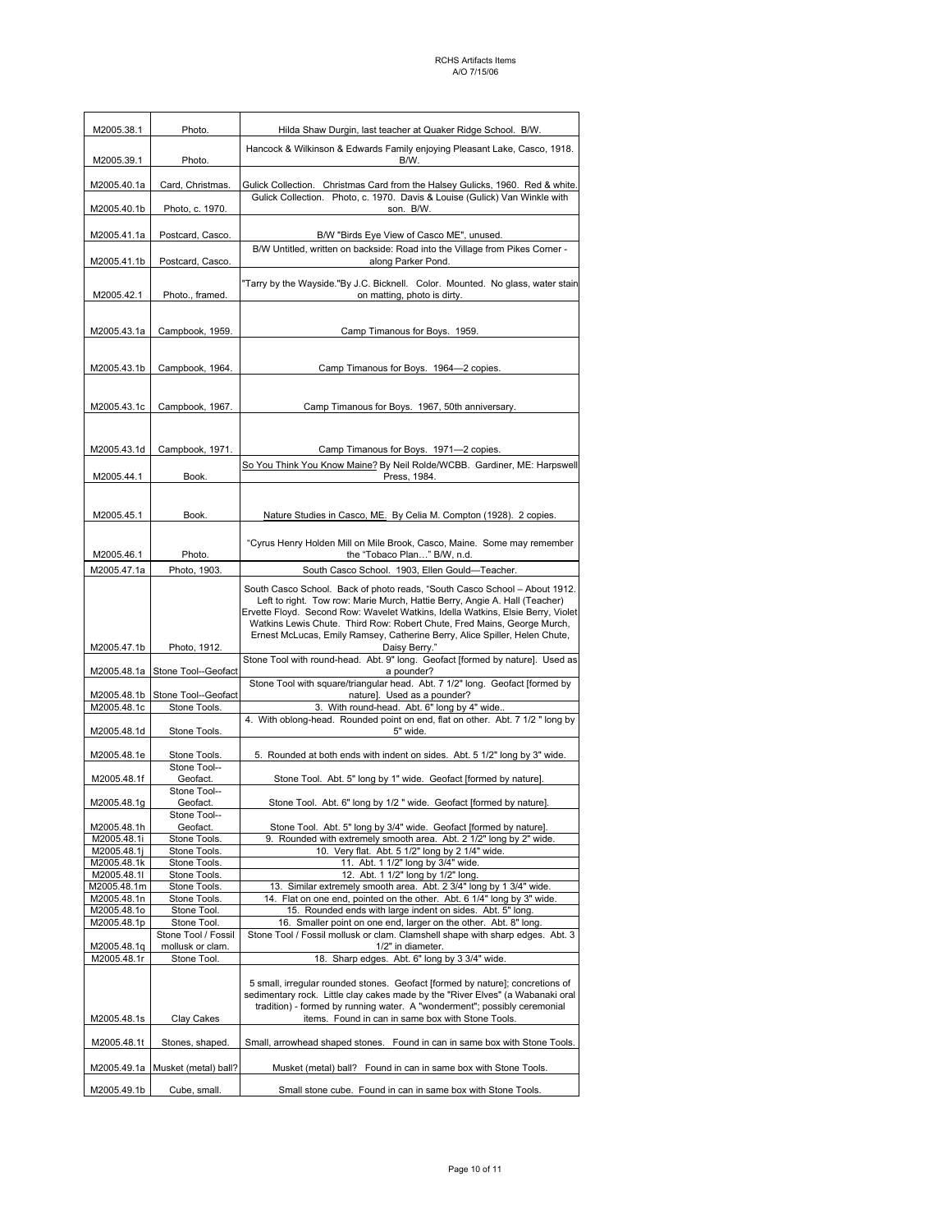| M2005.38.1                 | Photo.                                                                                                                           | Hilda Shaw Durgin, last teacher at Quaker Ridge School. B/W.                                                                                                                                                                                                                                                                                                                                                          |  |  |
|----------------------------|----------------------------------------------------------------------------------------------------------------------------------|-----------------------------------------------------------------------------------------------------------------------------------------------------------------------------------------------------------------------------------------------------------------------------------------------------------------------------------------------------------------------------------------------------------------------|--|--|
| M2005.39.1                 | Photo.                                                                                                                           | Hancock & Wilkinson & Edwards Family enjoying Pleasant Lake, Casco, 1918.<br>B/W.                                                                                                                                                                                                                                                                                                                                     |  |  |
|                            | Card, Christmas.                                                                                                                 |                                                                                                                                                                                                                                                                                                                                                                                                                       |  |  |
| M2005.40.1a<br>M2005.40.1b | Photo, c. 1970.                                                                                                                  | Gulick Collection. Christmas Card from the Halsey Gulicks, 1960. Red & white.<br>Gulick Collection. Photo, c. 1970. Davis & Louise (Gulick) Van Winkle with<br>son. B/W.                                                                                                                                                                                                                                              |  |  |
| M2005.41.1a                | Postcard, Casco.                                                                                                                 | B/W "Birds Eye View of Casco ME", unused.                                                                                                                                                                                                                                                                                                                                                                             |  |  |
| M2005.41.1b                | B/W Untitled, written on backside: Road into the Village from Pikes Corner -<br>along Parker Pond.<br>Postcard, Casco.           |                                                                                                                                                                                                                                                                                                                                                                                                                       |  |  |
| M2005.42.1                 | "Tarry by the Wayside."By J.C. Bicknell. Color. Mounted. No glass, water stain<br>on matting, photo is dirty.<br>Photo., framed. |                                                                                                                                                                                                                                                                                                                                                                                                                       |  |  |
| M2005.43.1a                | Campbook, 1959.                                                                                                                  | Camp Timanous for Boys. 1959.                                                                                                                                                                                                                                                                                                                                                                                         |  |  |
| M2005.43.1b                | Campbook, 1964.                                                                                                                  | Camp Timanous for Boys. 1964-2 copies.                                                                                                                                                                                                                                                                                                                                                                                |  |  |
|                            |                                                                                                                                  |                                                                                                                                                                                                                                                                                                                                                                                                                       |  |  |
| M2005.43.1c                | Campbook, 1967.                                                                                                                  | Camp Timanous for Boys. 1967, 50th anniversary.                                                                                                                                                                                                                                                                                                                                                                       |  |  |
|                            |                                                                                                                                  |                                                                                                                                                                                                                                                                                                                                                                                                                       |  |  |
| M2005.43.1d                | Campbook, 1971.                                                                                                                  | Camp Timanous for Boys. 1971-2 copies.                                                                                                                                                                                                                                                                                                                                                                                |  |  |
| M2005.44.1                 | Book.                                                                                                                            | So You Think You Know Maine? By Neil Rolde/WCBB. Gardiner, ME: Harpswell<br>Press, 1984.                                                                                                                                                                                                                                                                                                                              |  |  |
| M2005.45.1                 | Book.                                                                                                                            | Nature Studies in Casco, ME. By Celia M. Compton (1928). 2 copies.                                                                                                                                                                                                                                                                                                                                                    |  |  |
| M2005.46.1                 | Photo.                                                                                                                           | "Cyrus Henry Holden Mill on Mile Brook, Casco, Maine. Some may remember<br>the "Tobaco Plan" B/W, n.d.                                                                                                                                                                                                                                                                                                                |  |  |
| M2005.47.1a                | Photo, 1903.                                                                                                                     | South Casco School. 1903, Ellen Gould-Teacher.                                                                                                                                                                                                                                                                                                                                                                        |  |  |
| M2005.47.1b                | Photo, 1912.                                                                                                                     | South Casco School. Back of photo reads, "South Casco School - About 1912.<br>Left to right. Tow row: Marie Murch, Hattie Berry, Angie A. Hall (Teacher)<br>Ervette Floyd. Second Row: Wavelet Watkins, Idella Watkins, Elsie Berry, Violet<br>Watkins Lewis Chute. Third Row: Robert Chute, Fred Mains, George Murch,<br>Ernest McLucas, Emily Ramsey, Catherine Berry, Alice Spiller, Helen Chute,<br>Daisy Berry." |  |  |
| M2005.48.1a                | Stone Tool--Geofact                                                                                                              | Stone Tool with round-head. Abt. 9" long. Geofact [formed by nature]. Used as<br>a pounder?                                                                                                                                                                                                                                                                                                                           |  |  |
| M2005.48.1b                | Stone Tool--Geofact                                                                                                              | Stone Tool with square/triangular head. Abt. 7 1/2" long. Geofact [formed by<br>nature]. Used as a pounder?                                                                                                                                                                                                                                                                                                           |  |  |
| M2005.48.1c                | Stone Tools.                                                                                                                     | With round-head. Abt. 6" long by 4" wide                                                                                                                                                                                                                                                                                                                                                                              |  |  |
| M2005.48.1d                | Stone Tools.                                                                                                                     | 4. With oblong-head. Rounded point on end, flat on other. Abt. 7 1/2 " long by<br>5" wide.                                                                                                                                                                                                                                                                                                                            |  |  |
| M2005.48.1e                | Stone Tools.<br>Stone Tool--                                                                                                     | 5. Rounded at both ends with indent on sides. Abt. 5 1/2" long by 3" wide.                                                                                                                                                                                                                                                                                                                                            |  |  |
| M2005.48.1f                | Geofact.                                                                                                                         | Stone Tool. Abt. 5" long by 1" wide. Geofact [formed by nature].                                                                                                                                                                                                                                                                                                                                                      |  |  |
| M2005.48.1g                | Stone Tool--<br>Geofact.                                                                                                         | Stone Tool. Abt. 6" long by 1/2 " wide. Geofact [formed by nature].                                                                                                                                                                                                                                                                                                                                                   |  |  |
| M2005.48.1h                | Stone Tool--<br>Geofact.                                                                                                         | Stone Tool. Abt. 5" long by 3/4" wide. Geofact [formed by nature].                                                                                                                                                                                                                                                                                                                                                    |  |  |
| M2005.48.1i                | Stone Tools.                                                                                                                     | Rounded with extremely smooth area. Abt. 2 1/2" long by 2" wide.<br>9.                                                                                                                                                                                                                                                                                                                                                |  |  |
| M2005.48.1j<br>M2005.48.1k | Stone Tools.<br>Stone Tools.                                                                                                     | 10. Very flat. Abt. 5 1/2" long by 2 1/4" wide.<br>11. Abt. 1 1/2" long by 3/4" wide.                                                                                                                                                                                                                                                                                                                                 |  |  |
| M2005.48.1I                | Stone Tools.                                                                                                                     | 12. Abt. 1 1/2" long by 1/2" long.                                                                                                                                                                                                                                                                                                                                                                                    |  |  |
| M2005.48.1m                | Stone Tools.                                                                                                                     | 13. Similar extremely smooth area. Abt. 2 3/4" long by 1 3/4" wide.                                                                                                                                                                                                                                                                                                                                                   |  |  |
| M2005.48.1n                | Stone Tools.                                                                                                                     | 14. Flat on one end, pointed on the other. Abt. 6 1/4" long by 3" wide.                                                                                                                                                                                                                                                                                                                                               |  |  |
| M2005.48.1o<br>M2005.48.1p | Stone Tool.<br>Stone Tool.                                                                                                       | 15. Rounded ends with large indent on sides. Abt. 5" long.<br>16. Smaller point on one end, larger on the other. Abt. 8" long.                                                                                                                                                                                                                                                                                        |  |  |
| M2005.48.1q                | Stone Tool / Fossil<br>mollusk or clam.                                                                                          | Stone Tool / Fossil mollusk or clam. Clamshell shape with sharp edges. Abt. 3<br>1/2" in diameter.                                                                                                                                                                                                                                                                                                                    |  |  |
| M2005.48.1r                | Stone Tool.                                                                                                                      | 18. Sharp edges. Abt. 6" long by 3 3/4" wide.                                                                                                                                                                                                                                                                                                                                                                         |  |  |
| M2005.48.1s                | Clay Cakes                                                                                                                       | 5 small, irregular rounded stones. Geofact [formed by nature]; concretions of<br>sedimentary rock. Little clay cakes made by the "River Elves" (a Wabanaki oral<br>tradition) - formed by running water. A "wonderment"; possibly ceremonial<br>items. Found in can in same box with Stone Tools.                                                                                                                     |  |  |
| M2005.48.1t                | Stones, shaped.                                                                                                                  | Small, arrowhead shaped stones. Found in can in same box with Stone Tools.                                                                                                                                                                                                                                                                                                                                            |  |  |
|                            | M2005.49.1a Musket (metal) ball?                                                                                                 | Musket (metal) ball? Found in can in same box with Stone Tools.                                                                                                                                                                                                                                                                                                                                                       |  |  |
| M2005.49.1b                | Cube, small.                                                                                                                     | Small stone cube. Found in can in same box with Stone Tools.                                                                                                                                                                                                                                                                                                                                                          |  |  |